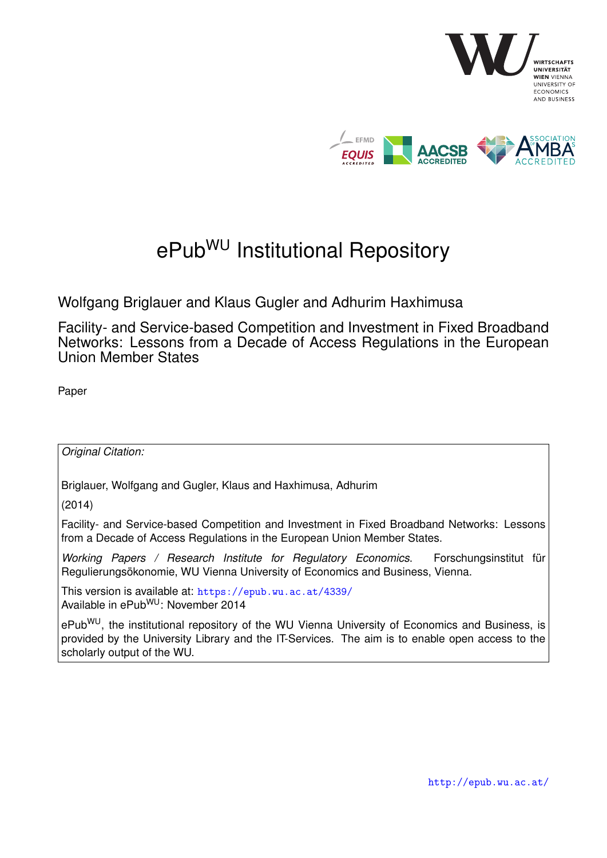

# ePub<sup>WU</sup> Institutional Repository

Wolfgang Briglauer and Klaus Gugler and Adhurim Haxhimusa

Facility- and Service-based Competition and Investment in Fixed Broadband Networks: Lessons from a Decade of Access Regulations in the European Union Member States

Paper

*Original Citation:*

Briglauer, Wolfgang and Gugler, Klaus and Haxhimusa, Adhurim

(2014)

Facility- and Service-based Competition and Investment in Fixed Broadband Networks: Lessons from a Decade of Access Regulations in the European Union Member States.

*Working Papers / Research Institute for Regulatory Economics*. Forschungsinstitut für Regulierungsökonomie, WU Vienna University of Economics and Business, Vienna.

This version is available at: <https://epub.wu.ac.at/4339/> Available in ePubWU: November 2014

ePub<sup>WU</sup>, the institutional repository of the WU Vienna University of Economics and Business, is provided by the University Library and the IT-Services. The aim is to enable open access to the scholarly output of the WU.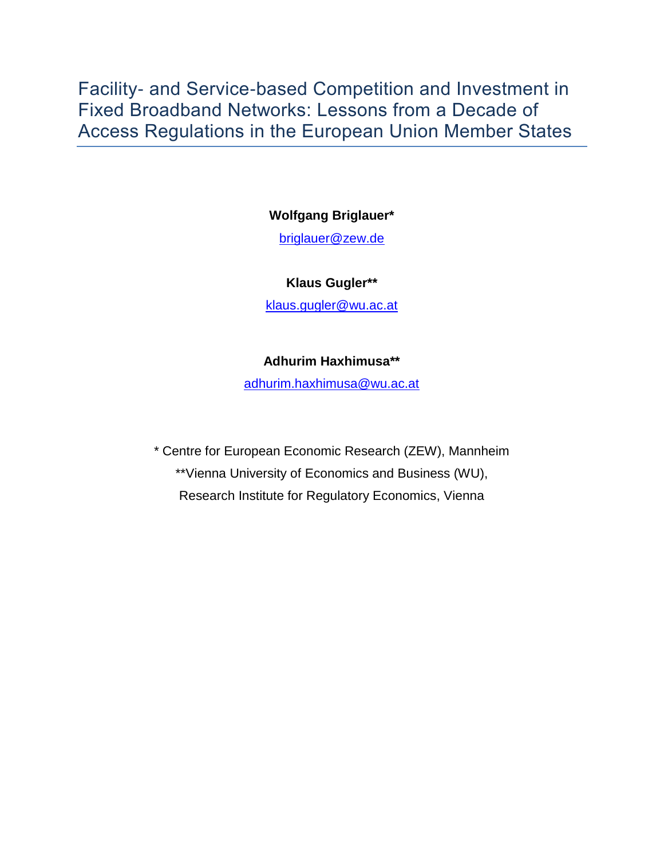Facility- and Service-based Competition and Investment in Fixed Broadband Networks: Lessons from a Decade of Access Regulations in the European Union Member States

**Wolfgang Briglauer\***

[briglauer@zew.de](mailto:briglauer@zew.de)

#### **Klaus Gugler\*\***

[klaus.gugler@wu.ac.at](mailto:klaus.gugler@wu.ac.at)

#### **Adhurim Haxhimusa\*\***

[adhurim.haxhimusa@wu.ac.at](mailto:adhurim.haxhimusa@wu.ac.at)

\* Centre for European Economic Research (ZEW), Mannheim \*\*Vienna University of Economics and Business (WU), Research Institute for Regulatory Economics, Vienna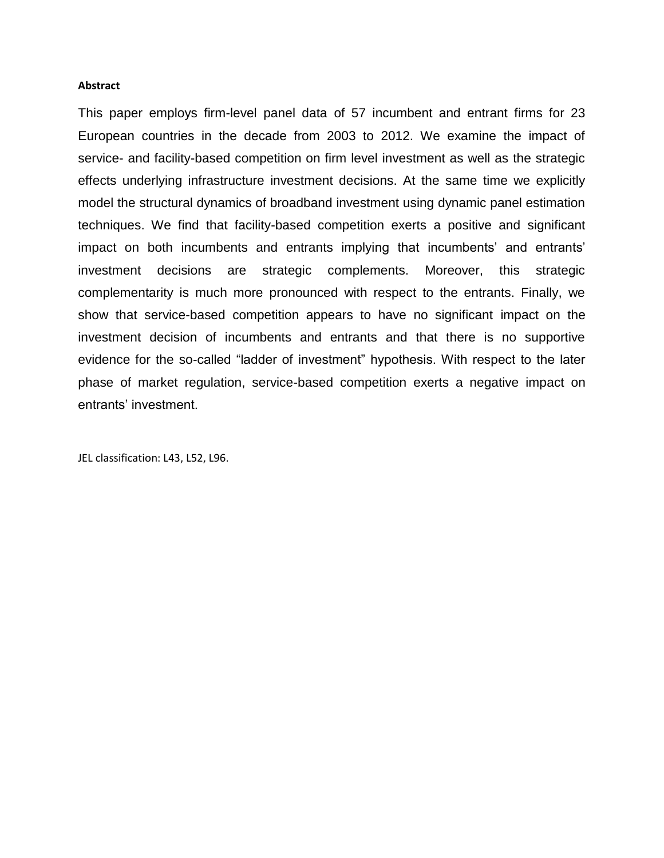#### **Abstract**

This paper employs firm-level panel data of 57 incumbent and entrant firms for 23 European countries in the decade from 2003 to 2012. We examine the impact of service- and facility-based competition on firm level investment as well as the strategic effects underlying infrastructure investment decisions. At the same time we explicitly model the structural dynamics of broadband investment using dynamic panel estimation techniques. We find that facility-based competition exerts a positive and significant impact on both incumbents and entrants implying that incumbents' and entrants' investment decisions are strategic complements. Moreover, this strategic complementarity is much more pronounced with respect to the entrants. Finally, we show that service-based competition appears to have no significant impact on the investment decision of incumbents and entrants and that there is no supportive evidence for the so-called "ladder of investment" hypothesis. With respect to the later phase of market regulation, service-based competition exerts a negative impact on entrants' investment.

JEL classification: L43, L52, L96.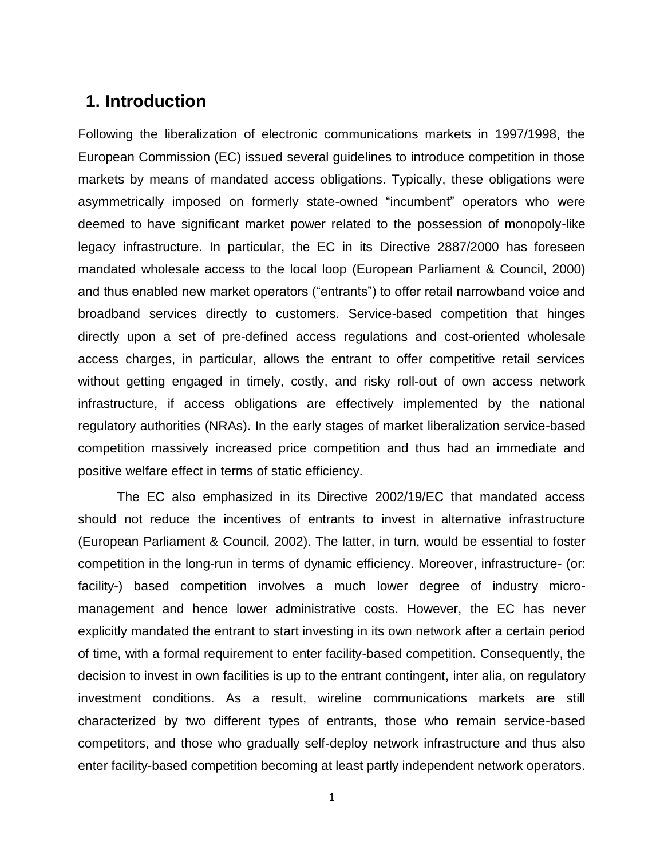### **1. Introduction**

Following the liberalization of electronic communications markets in 1997/1998, the European Commission (EC) issued several guidelines to introduce competition in those markets by means of mandated access obligations. Typically, these obligations were asymmetrically imposed on formerly state-owned "incumbent" operators who were deemed to have significant market power related to the possession of monopoly-like legacy infrastructure. In particular, the EC in its Directive 2887/2000 has foreseen mandated wholesale access to the local loop (European Parliament & Council, 2000) and thus enabled new market operators ("entrants") to offer retail narrowband voice and broadband services directly to customers. Service-based competition that hinges directly upon a set of pre-defined access regulations and cost-oriented wholesale access charges, in particular, allows the entrant to offer competitive retail services without getting engaged in timely, costly, and risky roll-out of own access network infrastructure, if access obligations are effectively implemented by the national regulatory authorities (NRAs). In the early stages of market liberalization service-based competition massively increased price competition and thus had an immediate and positive welfare effect in terms of static efficiency.

The EC also emphasized in its Directive 2002/19/EC that mandated access should not reduce the incentives of entrants to invest in alternative infrastructure (European Parliament & Council, 2002). The latter, in turn, would be essential to foster competition in the long-run in terms of dynamic efficiency. Moreover, infrastructure- (or: facility-) based competition involves a much lower degree of industry micromanagement and hence lower administrative costs. However, the EC has never explicitly mandated the entrant to start investing in its own network after a certain period of time, with a formal requirement to enter facility-based competition. Consequently, the decision to invest in own facilities is up to the entrant contingent, inter alia, on regulatory investment conditions. As a result, wireline communications markets are still characterized by two different types of entrants, those who remain service-based competitors, and those who gradually self-deploy network infrastructure and thus also enter facility-based competition becoming at least partly independent network operators.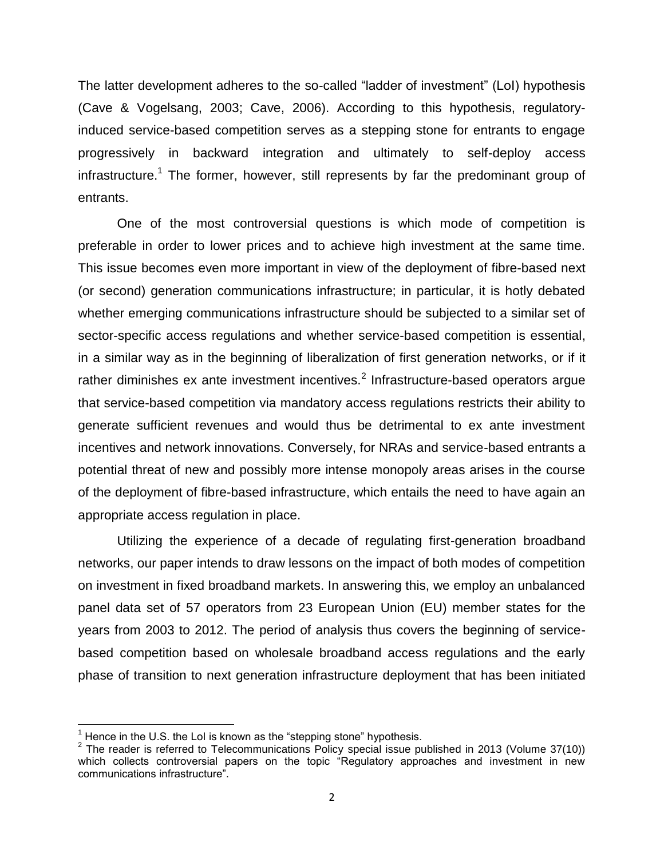The latter development adheres to the so-called "ladder of investment" (LoI) hypothesis (Cave & Vogelsang, 2003; Cave, 2006). According to this hypothesis, regulatoryinduced service-based competition serves as a stepping stone for entrants to engage progressively in backward integration and ultimately to self-deploy access infrastructure.<sup>1</sup> The former, however, still represents by far the predominant group of entrants.

One of the most controversial questions is which mode of competition is preferable in order to lower prices and to achieve high investment at the same time. This issue becomes even more important in view of the deployment of fibre-based next (or second) generation communications infrastructure; in particular, it is hotly debated whether emerging communications infrastructure should be subjected to a similar set of sector-specific access regulations and whether service-based competition is essential, in a similar way as in the beginning of liberalization of first generation networks, or if it rather diminishes ex ante investment incentives. $^2$  Infrastructure-based operators argue that service-based competition via mandatory access regulations restricts their ability to generate sufficient revenues and would thus be detrimental to ex ante investment incentives and network innovations. Conversely, for NRAs and service-based entrants a potential threat of new and possibly more intense monopoly areas arises in the course of the deployment of fibre-based infrastructure, which entails the need to have again an appropriate access regulation in place.

Utilizing the experience of a decade of regulating first-generation broadband networks, our paper intends to draw lessons on the impact of both modes of competition on investment in fixed broadband markets. In answering this, we employ an unbalanced panel data set of 57 operators from 23 European Union (EU) member states for the years from 2003 to 2012. The period of analysis thus covers the beginning of servicebased competition based on wholesale broadband access regulations and the early phase of transition to next generation infrastructure deployment that has been initiated

 $\overline{\phantom{a}}$ 

 $1$  Hence in the U.S. the LoI is known as the "stepping stone" hypothesis.

<sup>&</sup>lt;sup>2</sup> The reader is referred to Telecommunications Policy special issue published in 2013 (Volume 37(10)) which collects controversial papers on the topic "Regulatory approaches and investment in new communications infrastructure".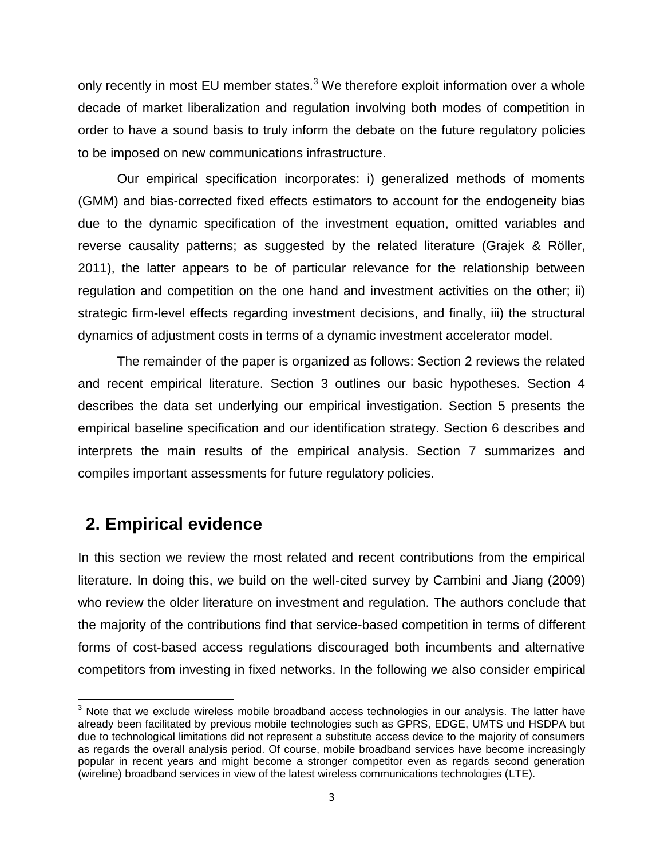only recently in most EU member states. $3$  We therefore exploit information over a whole decade of market liberalization and regulation involving both modes of competition in order to have a sound basis to truly inform the debate on the future regulatory policies to be imposed on new communications infrastructure.

Our empirical specification incorporates: i) generalized methods of moments (GMM) and bias-corrected fixed effects estimators to account for the endogeneity bias due to the dynamic specification of the investment equation, omitted variables and reverse causality patterns; as suggested by the related literature (Grajek & Röller, 2011), the latter appears to be of particular relevance for the relationship between regulation and competition on the one hand and investment activities on the other; ii) strategic firm-level effects regarding investment decisions, and finally, iii) the structural dynamics of adjustment costs in terms of a dynamic investment accelerator model.

The remainder of the paper is organized as follows: Section 2 reviews the related and recent empirical literature. Section 3 outlines our basic hypotheses. Section 4 describes the data set underlying our empirical investigation. Section 5 presents the empirical baseline specification and our identification strategy. Section 6 describes and interprets the main results of the empirical analysis. Section 7 summarizes and compiles important assessments for future regulatory policies.

### **2. Empirical evidence**

In this section we review the most related and recent contributions from the empirical literature. In doing this, we build on the well-cited survey by Cambini and Jiang (2009) who review the older literature on investment and regulation. The authors conclude that the majority of the contributions find that service-based competition in terms of different forms of cost-based access regulations discouraged both incumbents and alternative competitors from investing in fixed networks. In the following we also consider empirical

l  $3$  Note that we exclude wireless mobile broadband access technologies in our analysis. The latter have already been facilitated by previous mobile technologies such as GPRS, EDGE, UMTS und HSDPA but due to technological limitations did not represent a substitute access device to the majority of consumers as regards the overall analysis period. Of course, mobile broadband services have become increasingly popular in recent years and might become a stronger competitor even as regards second generation (wireline) broadband services in view of the latest wireless communications technologies (LTE).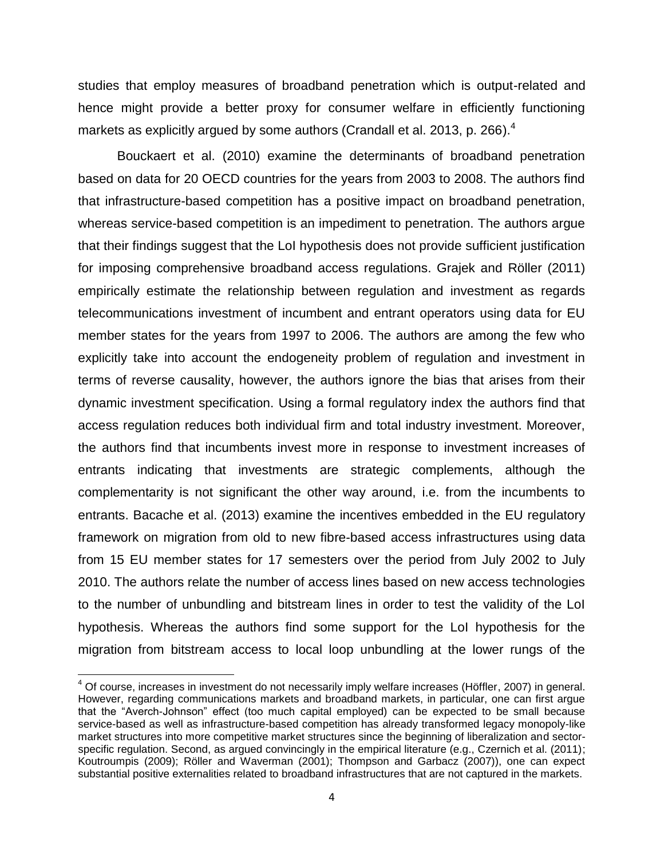studies that employ measures of broadband penetration which is output-related and hence might provide a better proxy for consumer welfare in efficiently functioning markets as explicitly argued by some authors (Crandall et al. 2013, p. 266).<sup>4</sup>

Bouckaert et al. (2010) examine the determinants of broadband penetration based on data for 20 OECD countries for the years from 2003 to 2008. The authors find that infrastructure-based competition has a positive impact on broadband penetration, whereas service-based competition is an impediment to penetration. The authors argue that their findings suggest that the LoI hypothesis does not provide sufficient justification for imposing comprehensive broadband access regulations. Grajek and Röller (2011) empirically estimate the relationship between regulation and investment as regards telecommunications investment of incumbent and entrant operators using data for EU member states for the years from 1997 to 2006. The authors are among the few who explicitly take into account the endogeneity problem of regulation and investment in terms of reverse causality, however, the authors ignore the bias that arises from their dynamic investment specification. Using a formal regulatory index the authors find that access regulation reduces both individual firm and total industry investment. Moreover, the authors find that incumbents invest more in response to investment increases of entrants indicating that investments are strategic complements, although the complementarity is not significant the other way around, i.e. from the incumbents to entrants. Bacache et al. (2013) examine the incentives embedded in the EU regulatory framework on migration from old to new fibre-based access infrastructures using data from 15 EU member states for 17 semesters over the period from July 2002 to July 2010. The authors relate the number of access lines based on new access technologies to the number of unbundling and bitstream lines in order to test the validity of the LoI hypothesis. Whereas the authors find some support for the LoI hypothesis for the migration from bitstream access to local loop unbundling at the lower rungs of the

 $\overline{a}$ 

 $4$  Of course, increases in investment do not necessarily imply welfare increases (Höffler, 2007) in general. However, regarding communications markets and broadband markets, in particular, one can first argue that the "Averch-Johnson" effect (too much capital employed) can be expected to be small because service-based as well as infrastructure-based competition has already transformed legacy monopoly-like market structures into more competitive market structures since the beginning of liberalization and sectorspecific regulation. Second, as argued convincingly in the empirical literature (e.g., Czernich et al. (2011); Koutroumpis (2009); Röller and Waverman (2001); Thompson and Garbacz (2007)), one can expect substantial positive externalities related to broadband infrastructures that are not captured in the markets.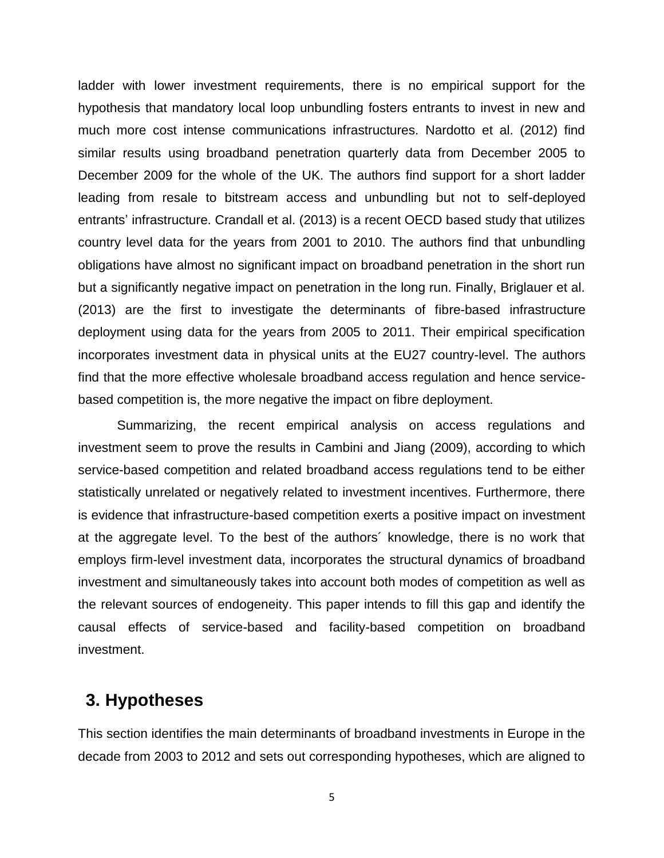ladder with lower investment requirements, there is no empirical support for the hypothesis that mandatory local loop unbundling fosters entrants to invest in new and much more cost intense communications infrastructures. Nardotto et al. (2012) find similar results using broadband penetration quarterly data from December 2005 to December 2009 for the whole of the UK. The authors find support for a short ladder leading from resale to bitstream access and unbundling but not to self-deployed entrants' infrastructure. Crandall et al. (2013) is a recent OECD based study that utilizes country level data for the years from 2001 to 2010. The authors find that unbundling obligations have almost no significant impact on broadband penetration in the short run but a significantly negative impact on penetration in the long run. Finally, Briglauer et al. (2013) are the first to investigate the determinants of fibre-based infrastructure deployment using data for the years from 2005 to 2011. Their empirical specification incorporates investment data in physical units at the EU27 country-level. The authors find that the more effective wholesale broadband access regulation and hence servicebased competition is, the more negative the impact on fibre deployment.

Summarizing, the recent empirical analysis on access regulations and investment seem to prove the results in Cambini and Jiang (2009), according to which service-based competition and related broadband access regulations tend to be either statistically unrelated or negatively related to investment incentives. Furthermore, there is evidence that infrastructure-based competition exerts a positive impact on investment at the aggregate level. To the best of the authors´ knowledge, there is no work that employs firm-level investment data, incorporates the structural dynamics of broadband investment and simultaneously takes into account both modes of competition as well as the relevant sources of endogeneity. This paper intends to fill this gap and identify the causal effects of service-based and facility-based competition on broadband investment.

### **3. Hypotheses**

This section identifies the main determinants of broadband investments in Europe in the decade from 2003 to 2012 and sets out corresponding hypotheses, which are aligned to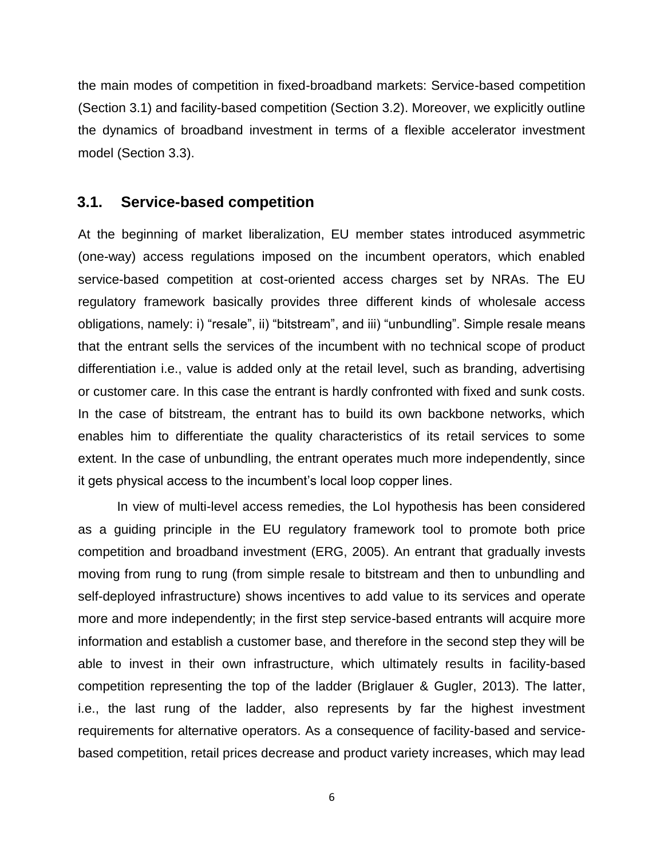the main modes of competition in fixed-broadband markets: Service-based competition (Section [3.1\)](#page-8-0) and facility-based competition (Section [3.2\)](#page-10-0). Moreover, we explicitly outline the dynamics of broadband investment in terms of a flexible accelerator investment model (Section [3.3\)](#page-12-0).

#### <span id="page-8-0"></span>**3.1. Service-based competition**

At the beginning of market liberalization, EU member states introduced asymmetric (one-way) access regulations imposed on the incumbent operators, which enabled service-based competition at cost-oriented access charges set by NRAs. The EU regulatory framework basically provides three different kinds of wholesale access obligations, namely: i) "resale", ii) "bitstream", and iii) "unbundling". Simple resale means that the entrant sells the services of the incumbent with no technical scope of product differentiation i.e., value is added only at the retail level, such as branding, advertising or customer care. In this case the entrant is hardly confronted with fixed and sunk costs. In the case of bitstream, the entrant has to build its own backbone networks, which enables him to differentiate the quality characteristics of its retail services to some extent. In the case of unbundling, the entrant operates much more independently, since it gets physical access to the incumbent's local loop copper lines.

In view of multi-level access remedies, the LoI hypothesis has been considered as a guiding principle in the EU regulatory framework tool to promote both price competition and broadband investment (ERG, 2005). An entrant that gradually invests moving from rung to rung (from simple resale to bitstream and then to unbundling and self-deployed infrastructure) shows incentives to add value to its services and operate more and more independently; in the first step service-based entrants will acquire more information and establish a customer base, and therefore in the second step they will be able to invest in their own infrastructure, which ultimately results in facility-based competition representing the top of the ladder (Briglauer & Gugler, 2013). The latter, i.e., the last rung of the ladder, also represents by far the highest investment requirements for alternative operators. As a consequence of facility-based and servicebased competition, retail prices decrease and product variety increases, which may lead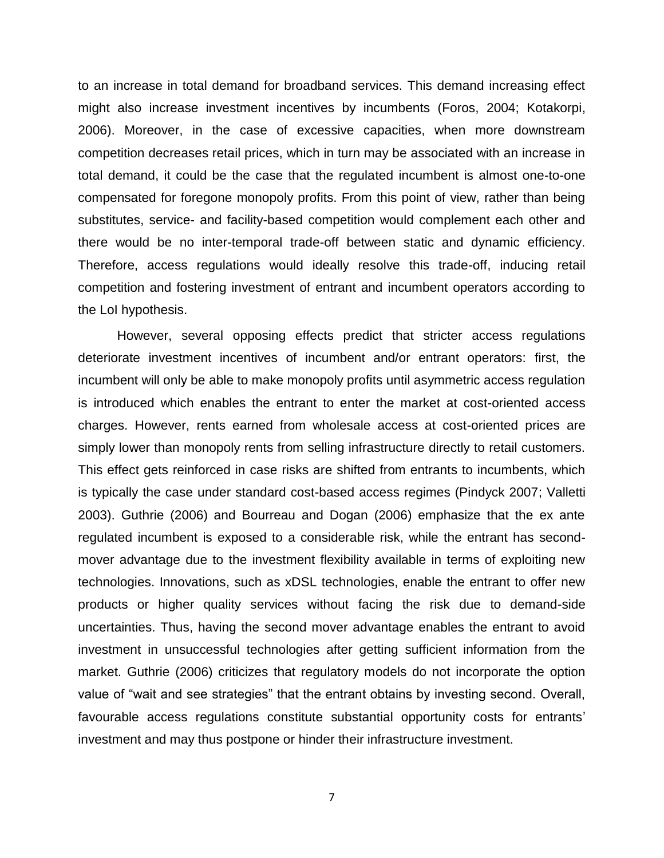to an increase in total demand for broadband services. This demand increasing effect might also increase investment incentives by incumbents (Foros, 2004; Kotakorpi, 2006). Moreover, in the case of excessive capacities, when more downstream competition decreases retail prices, which in turn may be associated with an increase in total demand, it could be the case that the regulated incumbent is almost one-to-one compensated for foregone monopoly profits. From this point of view, rather than being substitutes, service- and facility-based competition would complement each other and there would be no inter-temporal trade-off between static and dynamic efficiency. Therefore, access regulations would ideally resolve this trade-off, inducing retail competition and fostering investment of entrant and incumbent operators according to the LoI hypothesis.

However, several opposing effects predict that stricter access regulations deteriorate investment incentives of incumbent and/or entrant operators: first, the incumbent will only be able to make monopoly profits until asymmetric access regulation is introduced which enables the entrant to enter the market at cost-oriented access charges. However, rents earned from wholesale access at cost-oriented prices are simply lower than monopoly rents from selling infrastructure directly to retail customers. This effect gets reinforced in case risks are shifted from entrants to incumbents, which is typically the case under standard cost-based access regimes (Pindyck 2007; Valletti 2003). Guthrie (2006) and Bourreau and Dogan (2006) emphasize that the ex ante regulated incumbent is exposed to a considerable risk, while the entrant has secondmover advantage due to the investment flexibility available in terms of exploiting new technologies. Innovations, such as xDSL technologies, enable the entrant to offer new products or higher quality services without facing the risk due to demand-side uncertainties. Thus, having the second mover advantage enables the entrant to avoid investment in unsuccessful technologies after getting sufficient information from the market. Guthrie (2006) criticizes that regulatory models do not incorporate the option value of "wait and see strategies" that the entrant obtains by investing second. Overall, favourable access regulations constitute substantial opportunity costs for entrants' investment and may thus postpone or hinder their infrastructure investment.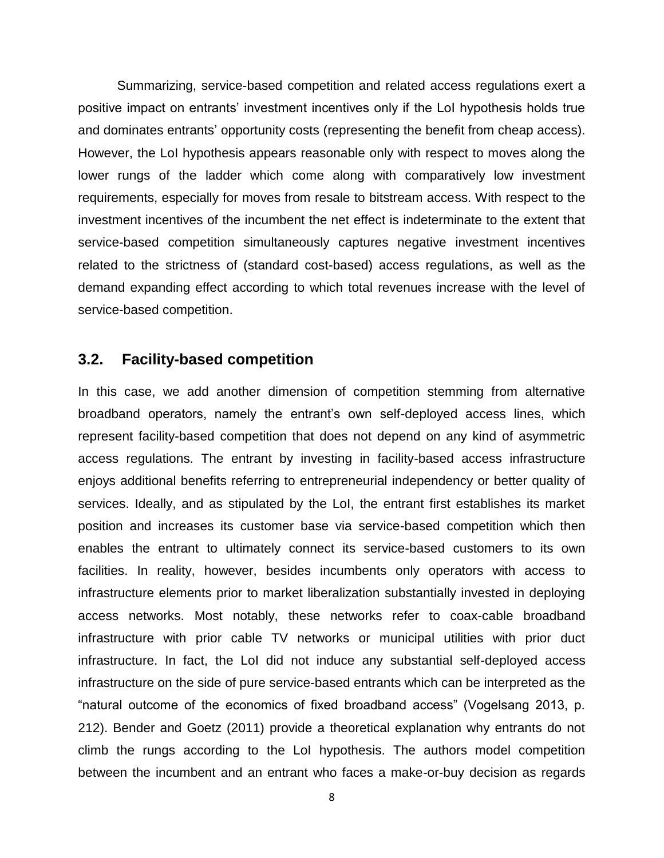Summarizing, service-based competition and related access regulations exert a positive impact on entrants' investment incentives only if the LoI hypothesis holds true and dominates entrants' opportunity costs (representing the benefit from cheap access). However, the LoI hypothesis appears reasonable only with respect to moves along the lower rungs of the ladder which come along with comparatively low investment requirements, especially for moves from resale to bitstream access. With respect to the investment incentives of the incumbent the net effect is indeterminate to the extent that service-based competition simultaneously captures negative investment incentives related to the strictness of (standard cost-based) access regulations, as well as the demand expanding effect according to which total revenues increase with the level of service-based competition.

### <span id="page-10-0"></span>**3.2. Facility-based competition**

In this case, we add another dimension of competition stemming from alternative broadband operators, namely the entrant's own self-deployed access lines, which represent facility-based competition that does not depend on any kind of asymmetric access regulations. The entrant by investing in facility-based access infrastructure enjoys additional benefits referring to entrepreneurial independency or better quality of services. Ideally, and as stipulated by the LoI, the entrant first establishes its market position and increases its customer base via service-based competition which then enables the entrant to ultimately connect its service-based customers to its own facilities. In reality, however, besides incumbents only operators with access to infrastructure elements prior to market liberalization substantially invested in deploying access networks. Most notably, these networks refer to coax-cable broadband infrastructure with prior cable TV networks or municipal utilities with prior duct infrastructure. In fact, the LoI did not induce any substantial self-deployed access infrastructure on the side of pure service-based entrants which can be interpreted as the "natural outcome of the economics of fixed broadband access" (Vogelsang 2013, p. 212). Bender and Goetz (2011) provide a theoretical explanation why entrants do not climb the rungs according to the LoI hypothesis. The authors model competition between the incumbent and an entrant who faces a make-or-buy decision as regards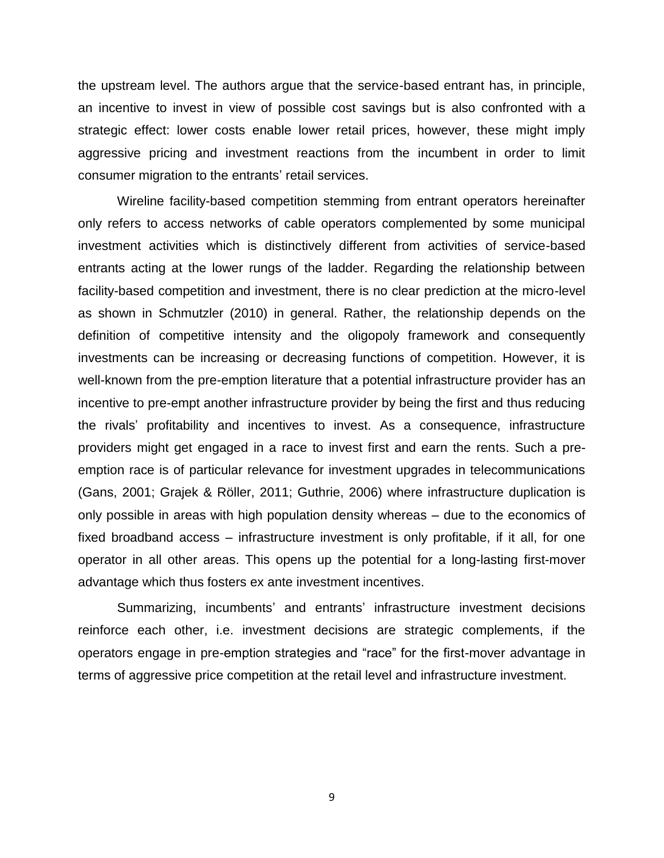the upstream level. The authors argue that the service-based entrant has, in principle, an incentive to invest in view of possible cost savings but is also confronted with a strategic effect: lower costs enable lower retail prices, however, these might imply aggressive pricing and investment reactions from the incumbent in order to limit consumer migration to the entrants' retail services.

Wireline facility-based competition stemming from entrant operators hereinafter only refers to access networks of cable operators complemented by some municipal investment activities which is distinctively different from activities of service-based entrants acting at the lower rungs of the ladder. Regarding the relationship between facility-based competition and investment, there is no clear prediction at the micro-level as shown in Schmutzler (2010) in general. Rather, the relationship depends on the definition of competitive intensity and the oligopoly framework and consequently investments can be increasing or decreasing functions of competition. However, it is well-known from the pre-emption literature that a potential infrastructure provider has an incentive to pre-empt another infrastructure provider by being the first and thus reducing the rivals' profitability and incentives to invest. As a consequence, infrastructure providers might get engaged in a race to invest first and earn the rents. Such a preemption race is of particular relevance for investment upgrades in telecommunications (Gans, 2001; Grajek & Röller, 2011; Guthrie, 2006) where infrastructure duplication is only possible in areas with high population density whereas – due to the economics of fixed broadband access – infrastructure investment is only profitable, if it all, for one operator in all other areas. This opens up the potential for a long-lasting first-mover advantage which thus fosters ex ante investment incentives.

Summarizing, incumbents' and entrants' infrastructure investment decisions reinforce each other, i.e. investment decisions are strategic complements, if the operators engage in pre-emption strategies and "race" for the first-mover advantage in terms of aggressive price competition at the retail level and infrastructure investment.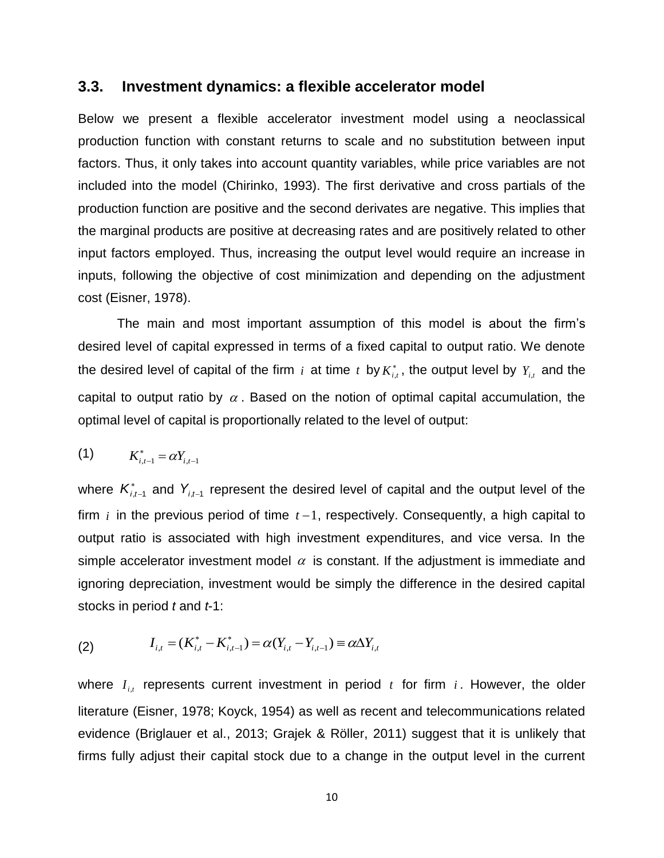#### <span id="page-12-1"></span><span id="page-12-0"></span>**3.3. Investment dynamics: a flexible accelerator model**

Below we present a flexible accelerator investment model using a neoclassical production function with constant returns to scale and no substitution between input factors. Thus, it only takes into account quantity variables, while price variables are not included into the model (Chirinko, 1993). The first derivative and cross partials of the production function are positive and the second derivates are negative. This implies that the marginal products are positive at decreasing rates and are positively related to other input factors employed. Thus, increasing the output level would require an increase in inputs, following the objective of cost minimization and depending on the adjustment cost (Eisner, 1978).

The main and most important assumption of this model is about the firm's desired level of capital expressed in terms of a fixed capital to output ratio. We denote the desired level of capital of the firm i at time t by  $K_{i,t}^*$ , the output level by  $Y_{i,t}$  and the capital to output ratio by  $\alpha$ . Based on the notion of optimal capital accumulation, the optimal level of capital is proportionally related to the level of output:

(1) 
$$
K_{i,t-1}^* = \alpha Y_{i,t-1}
$$

where  $\mathcal{K}_{i,t-1}^*$  and  $Y_{i,t-1}$  represent the desired level of capital and the output level of the firm  $i$  in the previous period of time  $t-1$ , respectively. Consequently, a high capital to output ratio is associated with high investment expenditures, and vice versa. In the simple accelerator investment model  $\alpha$  is constant. If the adjustment is immediate and ignoring depreciation, investment would be simply the difference in the desired capital stocks in period *t* and *t*-1:

(2) 
$$
I_{i,t} = (K_{i,t}^* - K_{i,t-1}^*) = \alpha (Y_{i,t} - Y_{i,t-1}) \equiv \alpha \Delta Y_{i,t}
$$

where  $I_{i,t}$  represents current investment in period  $t$  for firm  $i$ . However, the older literature (Eisner, 1978; Koyck, 1954) as well as recent and telecommunications related evidence (Briglauer et al., 2013; Grajek & Röller, 2011) suggest that it is unlikely that firms fully adjust their capital stock due to a change in the output level in the current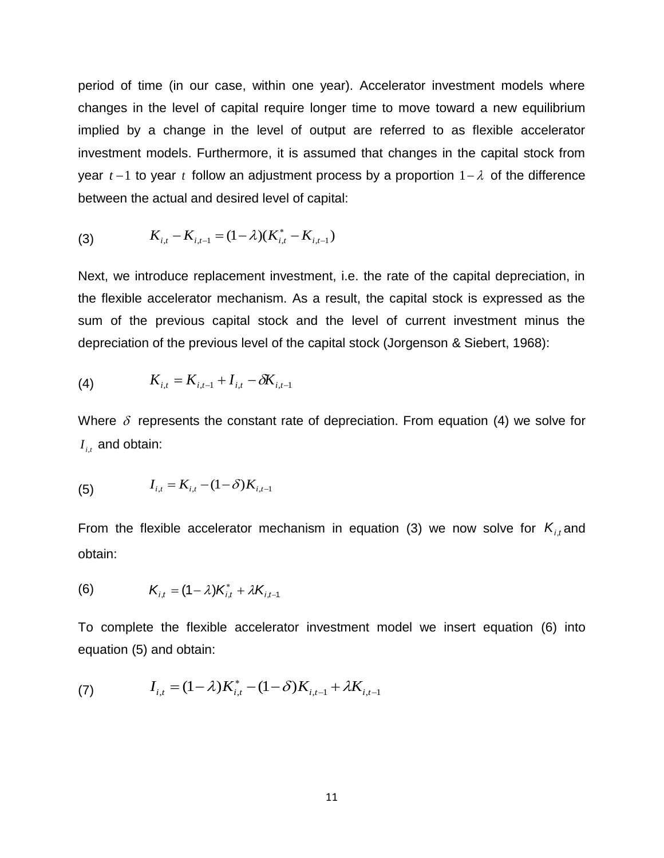<span id="page-13-0"></span>period of time (in our case, within one year). Accelerator investment models where changes in the level of capital require longer time to move toward a new equilibrium implied by a change in the level of output are referred to as flexible accelerator investment models. Furthermore, it is assumed that changes in the capital stock from year  $t-1$  to year  $t$  follow an adjustment process by a proportion  $1-\lambda$  of the difference between the actual and desired level of capital:

(3) 
$$
K_{i,t} - K_{i,t-1} = (1 - \lambda)(K_{i,t}^* - K_{i,t-1})
$$

 $(1 - \lambda)(K_{i,t}^* - K_{i,t-1})$ <br>cement investment,<br>echanism. As a re-<br>pital stock and the<br>us level of the capita<br> $I_{i,t} - \delta K_{i,t-1}$ <br>constant rate of de<br> $-\delta)K_{i,t-1}$ <br>rator mechanism ir<br> $*\atop{a,t} + \lambda K_{i,t-1}$ <br>accelerator inves Next, we introduce replacement investment, i.e. the rate of the capital depreciation, in the flexible accelerator mechanism. As a result, the capital stock is expressed as the sum of the previous capital stock and the level of current investment minus the depreciation of the previous level of the capital stock (Jorgenson & Siebert, 1968):

(4) 
$$
K_{i,t} = K_{i,t-1} + I_{i,t} - \delta K_{i,t-1}
$$

Where  $\delta$  represents the constant rate of depreciation. From equation [\(4\)](#page-13-0) we solve for  $I_{i,t}$  and obtain:

(5) 
$$
I_{i,t} = K_{i,t} - (1-\delta)K_{i,t-1}
$$

From the flexible accelerator mechanism in equation [\(3\)](#page-13-0) we now solve for  $K_{i,t}$  and obtain:

<span id="page-13-1"></span>(6) 
$$
K_{i,t} = (1 - \lambda)K_{i,t}^* + \lambda K_{i,t-1}
$$

To complete the flexible accelerator investment model we insert equation [\(6\)](#page-13-1) into equation [\(5\)](#page-13-0) and obtain:

(7) 
$$
I_{i,t} = (1 - \lambda)K_{i,t}^* - (1 - \delta)K_{i,t-1} + \lambda K_{i,t-1}
$$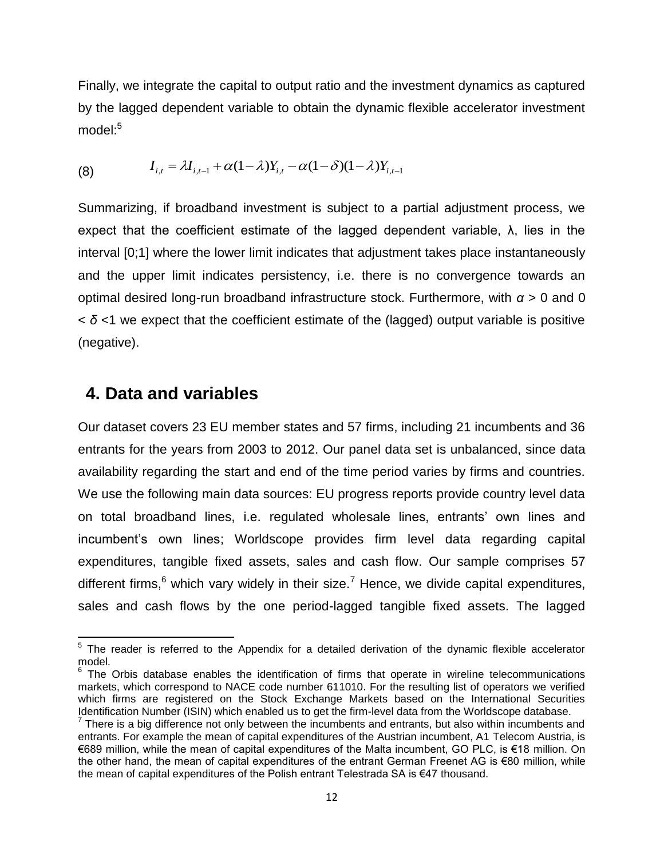<span id="page-14-0"></span>Finally, we integrate the capital to output ratio and the investment dynamics as captured by the lagged dependent variable to obtain the dynamic flexible accelerator investment  $model:5$ 

(8) 
$$
I_{i,t} = \lambda I_{i,t-1} + \alpha (1 - \lambda) Y_{i,t} - \alpha (1 - \delta) (1 - \lambda) Y_{i,t-1}
$$

Summarizing, if broadband investment is subject to a partial adjustment process, we expect that the coefficient estimate of the lagged dependent variable,  $\lambda$ , lies in the interval [0;1] where the lower limit indicates that adjustment takes place instantaneously and the upper limit indicates persistency, i.e. there is no convergence towards an optimal desired long-run broadband infrastructure stock. Furthermore, with *α* > 0 and 0 < *δ* <1 we expect that the coefficient estimate of the (lagged) output variable is positive (negative).

### **4. Data and variables**

 $\overline{a}$ 

Our dataset covers 23 EU member states and 57 firms, including 21 incumbents and 36 entrants for the years from 2003 to 2012. Our panel data set is unbalanced, since data availability regarding the start and end of the time period varies by firms and countries. We use the following main data sources: EU progress reports provide country level data on total broadband lines, i.e. regulated wholesale lines, entrants' own lines and incumbent's own lines; Worldscope provides firm level data regarding capital expenditures, tangible fixed assets, sales and cash flow. Our sample comprises 57 different firms, $6$  which vary widely in their size.<sup>7</sup> Hence, we divide capital expenditures, sales and cash flows by the one period-lagged tangible fixed assets. The lagged

 $5$  The reader is referred to the Appendix for a detailed derivation of the dynamic flexible accelerator model.

 $6$  The Orbis database enables the identification of firms that operate in wireline telecommunications markets, which correspond to NACE code number 611010. For the resulting list of operators we verified which firms are registered on the Stock Exchange Markets based on the International Securities Identification Number (ISIN) which enabled us to get the firm-level data from the Worldscope database.

 $<sup>7</sup>$  There is a big difference not only between the incumbents and entrants, but also within incumbents and</sup> entrants. For example the mean of capital expenditures of the Austrian incumbent, A1 Telecom Austria, is €689 million, while the mean of capital expenditures of the Malta incumbent, GO PLC, is €18 million. On the other hand, the mean of capital expenditures of the entrant German Freenet AG is €80 million, while the mean of capital expenditures of the Polish entrant Telestrada SA is €47 thousand.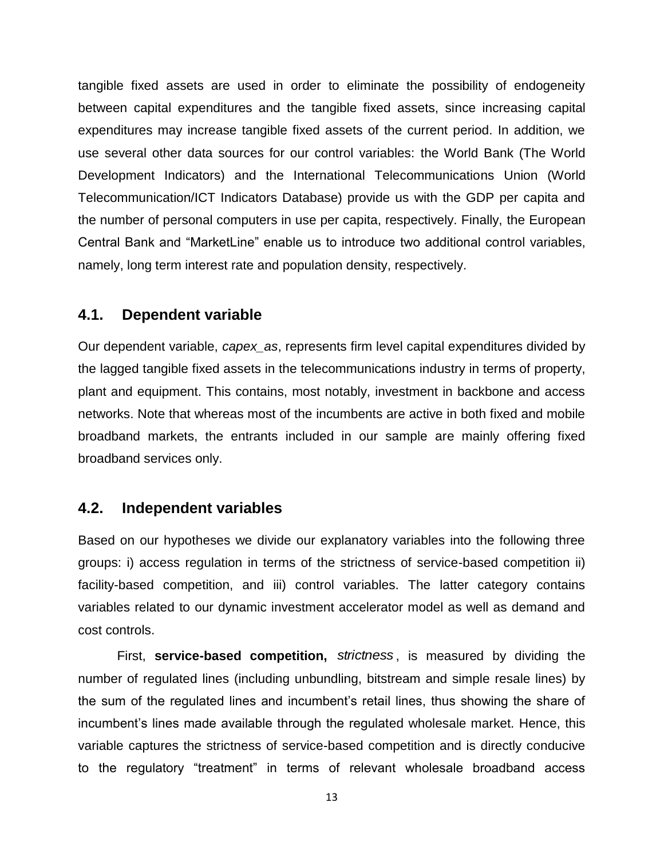tangible fixed assets are used in order to eliminate the possibility of endogeneity between capital expenditures and the tangible fixed assets, since increasing capital expenditures may increase tangible fixed assets of the current period. In addition, we use several other data sources for our control variables: the World Bank (The World Development Indicators) and the International Telecommunications Union (World Telecommunication/ICT Indicators Database) provide us with the GDP per capita and the number of personal computers in use per capita, respectively. Finally, the European Central Bank and "MarketLine" enable us to introduce two additional control variables, namely, long term interest rate and population density, respectively.

#### **4.1. Dependent variable**

Our dependent variable, *capex\_as*, represents firm level capital expenditures divided by the lagged tangible fixed assets in the telecommunications industry in terms of property, plant and equipment. This contains, most notably, investment in backbone and access networks. Note that whereas most of the incumbents are active in both fixed and mobile broadband markets, the entrants included in our sample are mainly offering fixed broadband services only.

### **4.2. Independent variables**

Based on our hypotheses we divide our explanatory variables into the following three groups: i) access regulation in terms of the strictness of service-based competition ii) facility-based competition, and iii) control variables. The latter category contains variables related to our dynamic investment accelerator model as well as demand and cost controls.

First, service-based competition, strictness, is measured by dividing the number of regulated lines (including unbundling, bitstream and simple resale lines) by the sum of the regulated lines and incumbent's retail lines, thus showing the share of incumbent's lines made available through the regulated wholesale market. Hence, this variable captures the strictness of service-based competition and is directly conducive to the regulatory "treatment" in terms of relevant wholesale broadband access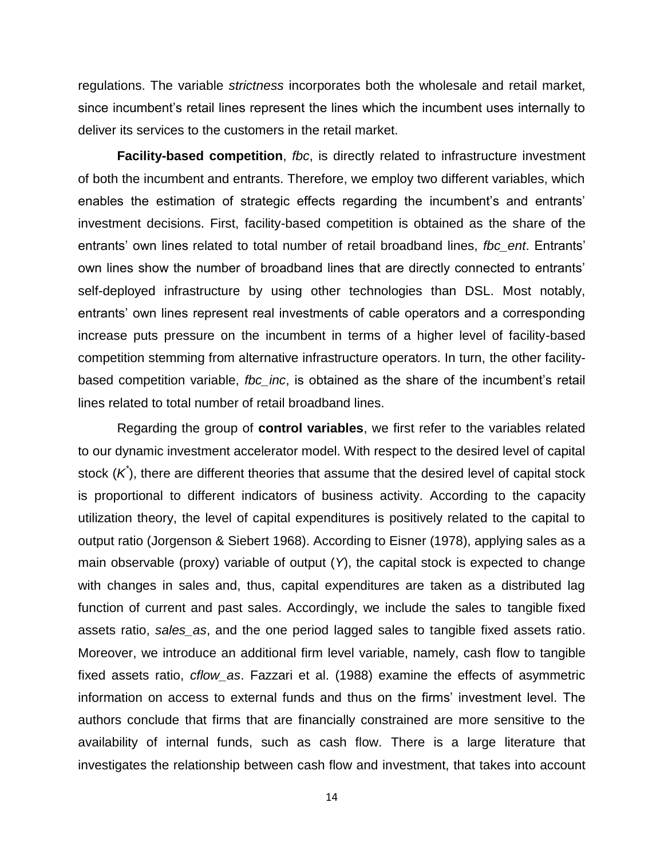regulations. The variable *strictness* incorporates both the wholesale and retail market, since incumbent's retail lines represent the lines which the incumbent uses internally to deliver its services to the customers in the retail market.

**Facility-based competition**, *fbc*, is directly related to infrastructure investment of both the incumbent and entrants. Therefore, we employ two different variables, which enables the estimation of strategic effects regarding the incumbent's and entrants' investment decisions. First, facility-based competition is obtained as the share of the entrants' own lines related to total number of retail broadband lines, *fbc\_ent*. Entrants' own lines show the number of broadband lines that are directly connected to entrants' self-deployed infrastructure by using other technologies than DSL. Most notably, entrants' own lines represent real investments of cable operators and a corresponding increase puts pressure on the incumbent in terms of a higher level of facility-based competition stemming from alternative infrastructure operators. In turn, the other facilitybased competition variable, *fbc\_inc*, is obtained as the share of the incumbent's retail lines related to total number of retail broadband lines.

Regarding the group of **control variables**, we first refer to the variables related to our dynamic investment accelerator model. With respect to the desired level of capital stock (K<sup>\*</sup>), there are different theories that assume that the desired level of capital stock is proportional to different indicators of business activity. According to the capacity utilization theory, the level of capital expenditures is positively related to the capital to output ratio (Jorgenson & Siebert 1968). According to Eisner (1978), applying sales as a main observable (proxy) variable of output (*Y*), the capital stock is expected to change with changes in sales and, thus, capital expenditures are taken as a distributed lag function of current and past sales. Accordingly, we include the sales to tangible fixed assets ratio, *sales\_as*, and the one period lagged sales to tangible fixed assets ratio. Moreover, we introduce an additional firm level variable, namely, cash flow to tangible fixed assets ratio, *cflow\_as*. Fazzari et al. (1988) examine the effects of asymmetric information on access to external funds and thus on the firms' investment level. The authors conclude that firms that are financially constrained are more sensitive to the availability of internal funds, such as cash flow. There is a large literature that investigates the relationship between cash flow and investment, that takes into account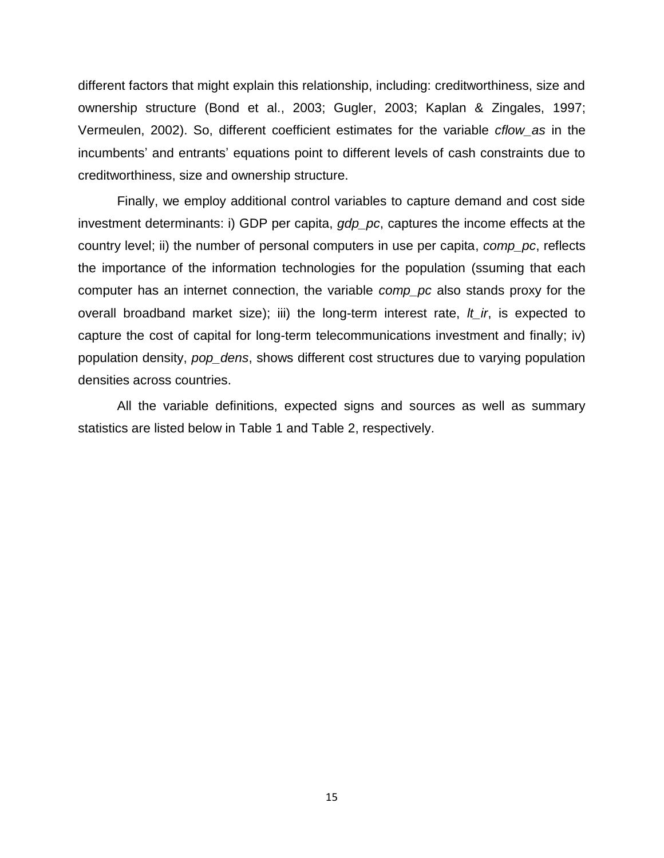different factors that might explain this relationship, including: creditworthiness, size and ownership structure (Bond et al., 2003; Gugler, 2003; Kaplan & Zingales, 1997; Vermeulen, 2002). So, different coefficient estimates for the variable *cflow\_as* in the incumbents' and entrants' equations point to different levels of cash constraints due to creditworthiness, size and ownership structure.

Finally, we employ additional control variables to capture demand and cost side investment determinants: i) GDP per capita, *gdp\_pc*, captures the income effects at the country level; ii) the number of personal computers in use per capita, *comp\_pc*, reflects the importance of the information technologies for the population (ssuming that each computer has an internet connection, the variable *comp\_pc* also stands proxy for the overall broadband market size); iii) the long-term interest rate, *lt\_ir*, is expected to capture the cost of capital for long-term telecommunications investment and finally; iv) population density, *pop\_dens*, shows different cost structures due to varying population densities across countries.

All the variable definitions, expected signs and sources as well as summary statistics are listed below in [Table 1](#page-18-0) and [Table 2,](#page-19-0) respectively.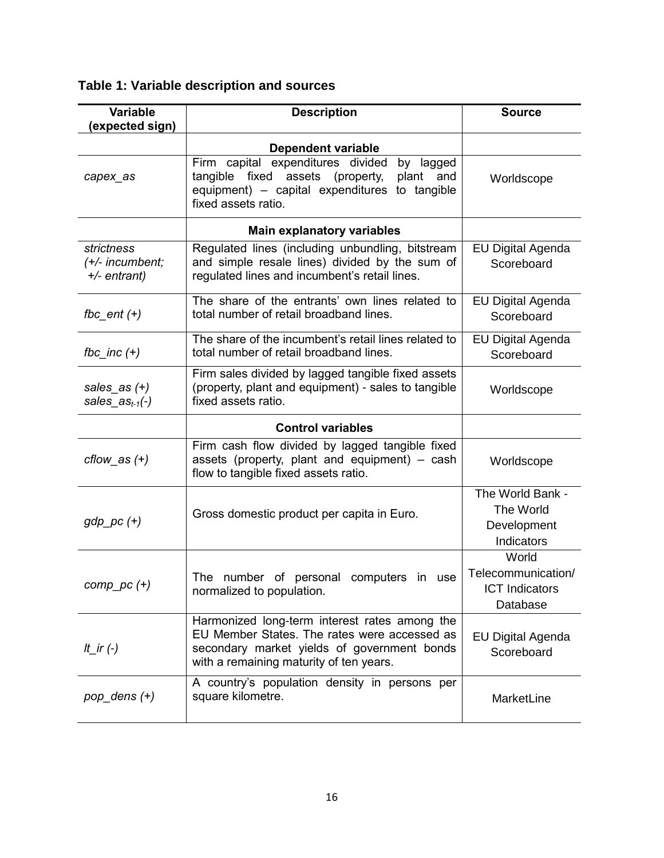<span id="page-18-0"></span>**Table 1: Variable description and sources**

| <b>Variable</b><br>(expected sign)            | <b>Description</b>                                                                                                                                                                      | <b>Source</b>                                                    |
|-----------------------------------------------|-----------------------------------------------------------------------------------------------------------------------------------------------------------------------------------------|------------------------------------------------------------------|
|                                               | Dependent variable                                                                                                                                                                      |                                                                  |
| capex as                                      | Firm capital expenditures divided<br>by lagged<br>tangible fixed assets (property,<br>plant and<br>equipment) - capital expenditures to tangible<br>fixed assets ratio.                 | Worldscope                                                       |
|                                               | <b>Main explanatory variables</b>                                                                                                                                                       |                                                                  |
| strictness<br>(+/- incumbent;<br>+/- entrant) | Regulated lines (including unbundling, bitstream<br>and simple resale lines) divided by the sum of<br>regulated lines and incumbent's retail lines.                                     | <b>EU Digital Agenda</b><br>Scoreboard                           |
| fbc_ent $(+)$                                 | The share of the entrants' own lines related to<br>total number of retail broadband lines.                                                                                              | <b>EU Digital Agenda</b><br>Scoreboard                           |
| fbc_inc $(+)$                                 | The share of the incumbent's retail lines related to<br>total number of retail broadband lines.                                                                                         | EU Digital Agenda<br>Scoreboard                                  |
| sales_as $(+)$<br>sales_as $_{t-1}(-)$        | Firm sales divided by lagged tangible fixed assets<br>(property, plant and equipment) - sales to tangible<br>fixed assets ratio.                                                        | Worldscope                                                       |
|                                               | <b>Control variables</b>                                                                                                                                                                |                                                                  |
| $cflow$ as $(+)$                              | Firm cash flow divided by lagged tangible fixed<br>assets (property, plant and equipment) - cash<br>flow to tangible fixed assets ratio.                                                | Worldscope                                                       |
| $gdp\_pc$ $(+)$                               | Gross domestic product per capita in Euro.                                                                                                                                              | The World Bank -<br>The World<br>Development<br>Indicators       |
| $comp\_pc (+)$                                | The number of personal computers in use<br>normalized to population.                                                                                                                    | World<br>Telecommunication/<br><b>ICT</b> Indicators<br>Database |
| It_ir $(-)$                                   | Harmonized long-term interest rates among the<br>EU Member States. The rates were accessed as<br>secondary market yields of government bonds<br>with a remaining maturity of ten years. | <b>EU Digital Agenda</b><br>Scoreboard                           |
| $pop\_dens (+)$                               | A country's population density in persons per<br>square kilometre.                                                                                                                      | MarketLine                                                       |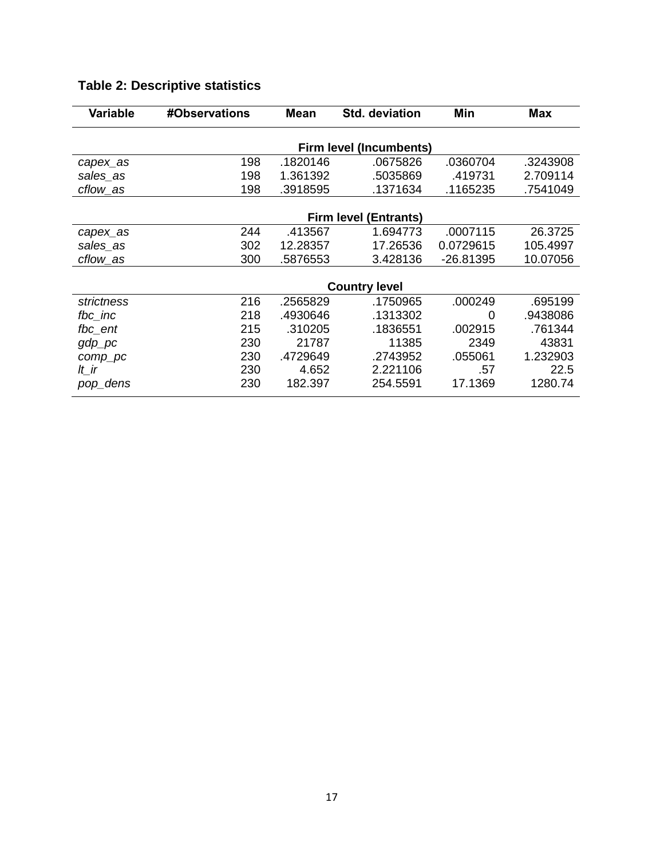| <b>Variable</b>                | #Observations                | Mean     | <b>Std. deviation</b> | Min         | <b>Max</b> |
|--------------------------------|------------------------------|----------|-----------------------|-------------|------------|
| <b>Firm level (Incumbents)</b> |                              |          |                       |             |            |
| capex_as                       | 198                          | .1820146 | .0675826              | .0360704    | .3243908   |
| sales_as                       | 198                          | 1.361392 | .5035869              | .419731     | 2.709114   |
| cflow_as                       | 198                          | .3918595 | .1371634              | .1165235    | .7541049   |
|                                |                              |          |                       |             |            |
|                                | <b>Firm level (Entrants)</b> |          |                       |             |            |
| capex_as                       | 244                          | .413567  | 1.694773              | .0007115    | 26.3725    |
| sales_as                       | 302                          | 12.28357 | 17.26536              | 0.0729615   | 105.4997   |
| cflow_as                       | 300                          | .5876553 | 3.428136              | $-26.81395$ | 10.07056   |
|                                |                              |          |                       |             |            |
|                                | <b>Country level</b>         |          |                       |             |            |
| strictness                     | 216                          | .2565829 | .1750965              | .000249     | .695199    |
| fbc_inc                        | 218                          | .4930646 | .1313302              | 0           | .9438086   |
| fbc_ent                        | 215                          | .310205  | .1836551              | .002915     | .761344    |
| $gdp\_pc$                      | 230                          | 21787    | 11385                 | 2349        | 43831      |
| comp_pc                        | 230                          | .4729649 | .2743952              | .055061     | 1.232903   |
| lt_ir                          | 230                          | 4.652    | 2.221106              | .57         | 22.5       |
| pop_dens                       | 230                          | 182.397  | 254.5591              | 17.1369     | 1280.74    |

## <span id="page-19-0"></span>**Table 2: Descriptive statistics**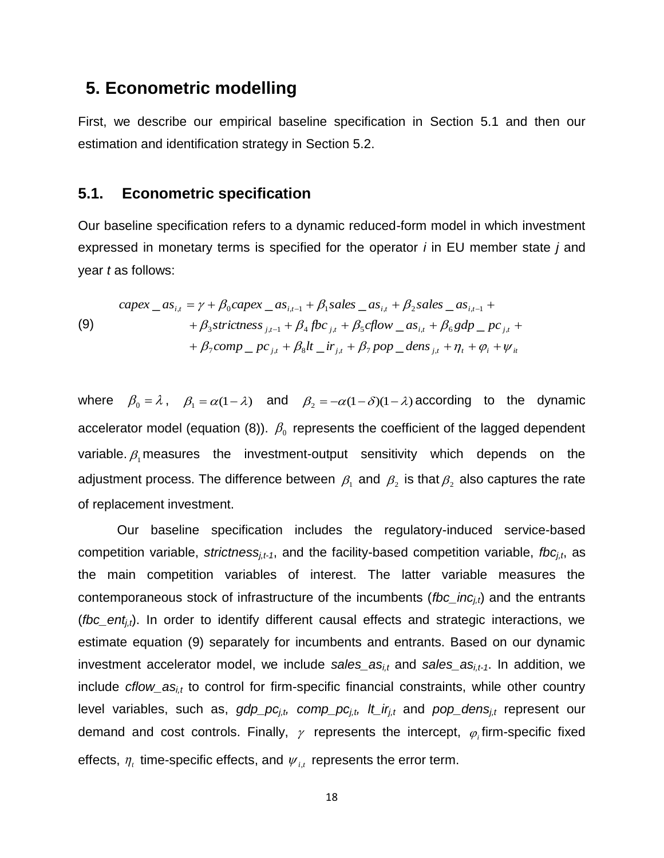### **5. Econometric modelling**

First, we describe our empirical baseline specification in Section [5.1](#page-20-0) and then our estimation and identification strategy in Section [5.2.](#page-21-0)

### <span id="page-20-0"></span>**5.1. Econometric specification**

Our baseline specification refers to a dynamic reduced-form model in which investment expressed in monetary terms is specified for the operator *i* in EU member state *j* and year *t* as follows:

<span id="page-20-1"></span>(9)  
\n
$$
capex_{i,t} = \gamma + \beta_0 capex_{i,t-1} + \beta_1 sales_{i,t} + \beta_2 sales_{i,t-1} + \n+ \beta_3 strictness_{j,t-1} + \beta_4 fbc_{j,t} + \beta_5 cflow_{i,t} + \beta_6 gdp_{i,t} + \n+ \beta_7 comp_{i,t} + \beta_8 lt_{i,t} + \beta_7 pop_{i,t} + \eta_t + \varphi_i + \psi_{it}
$$

where  $\beta_0 = \lambda$ ,  $\beta_1 = \alpha(1-\lambda)$  and  $\beta_2 = -\alpha(1-\delta)(1-\lambda)$  according to the dynamic accelerator model (equation [\(8\)\)](#page-14-0).  $\beta_0$  represents the coefficient of the lagged dependent variable  $\beta_{\text{\tiny{l}}}$  measures the investment-output sensitivity which depends on the adjustment process. The difference between  $\,\beta_{\scriptscriptstyle 1}$  and  $\,\beta_{\scriptscriptstyle 2}$  is that $\,\beta_{\scriptscriptstyle 2}$  also captures the rate of replacement investment.

Our baseline specification includes the regulatory-induced service-based competition variable, *strictnessj,t-1*, and the facility-based competition variable, *fbcj,t*, as the main competition variables of interest. The latter variable measures the contemporaneous stock of infrastructure of the incumbents (*fbc\_incj,t*) and the entrants (*fbc\_ent<sub>i,t</sub>*). In order to identify different causal effects and strategic interactions, we estimate equation (9) separately for incumbents and entrants. Based on our dynamic investment accelerator model, we include sales\_as<sub>i,t</sub> and sales\_as<sub>i,t-1</sub>. In addition, we include *cflow\_asi,t* to control for firm-specific financial constraints, while other country level variables, such as, *gdp\_pcj,t, comp\_pcj,t, lt\_irj,t* and *pop\_densj,t* represent our demand and cost controls. Finally,  $\gamma$  represents the intercept,  $\varphi_i$  firm-specific fixed effects,  $\eta$ , time-specific effects, and  $\psi$ <sub>i,t</sub> represents the error term.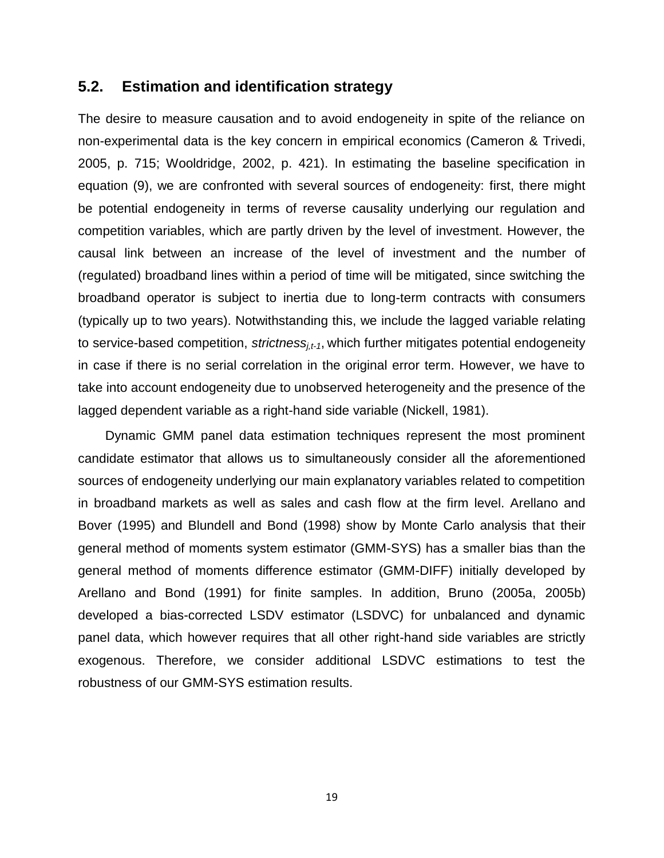### <span id="page-21-0"></span>**5.2. Estimation and identification strategy**

The desire to measure causation and to avoid endogeneity in spite of the reliance on non-experimental data is the key concern in empirical economics (Cameron & Trivedi, 2005, p. 715; Wooldridge, 2002, p. 421). In estimating the baseline specification in equation [\(9\),](#page-20-1) we are confronted with several sources of endogeneity: first, there might be potential endogeneity in terms of reverse causality underlying our regulation and competition variables, which are partly driven by the level of investment. However, the causal link between an increase of the level of investment and the number of (regulated) broadband lines within a period of time will be mitigated, since switching the broadband operator is subject to inertia due to long-term contracts with consumers (typically up to two years). Notwithstanding this, we include the lagged variable relating to service-based competition, *strictnessj,t-1*, which further mitigates potential endogeneity in case if there is no serial correlation in the original error term. However, we have to take into account endogeneity due to unobserved heterogeneity and the presence of the lagged dependent variable as a right-hand side variable (Nickell, 1981).

Dynamic GMM panel data estimation techniques represent the most prominent candidate estimator that allows us to simultaneously consider all the aforementioned sources of endogeneity underlying our main explanatory variables related to competition in broadband markets as well as sales and cash flow at the firm level. Arellano and Bover (1995) and Blundell and Bond (1998) show by Monte Carlo analysis that their general method of moments system estimator (GMM-SYS) has a smaller bias than the general method of moments difference estimator (GMM-DIFF) initially developed by Arellano and Bond (1991) for finite samples. In addition, Bruno (2005a, 2005b) developed a bias-corrected LSDV estimator (LSDVC) for unbalanced and dynamic panel data, which however requires that all other right-hand side variables are strictly exogenous. Therefore, we consider additional LSDVC estimations to test the robustness of our GMM-SYS estimation results.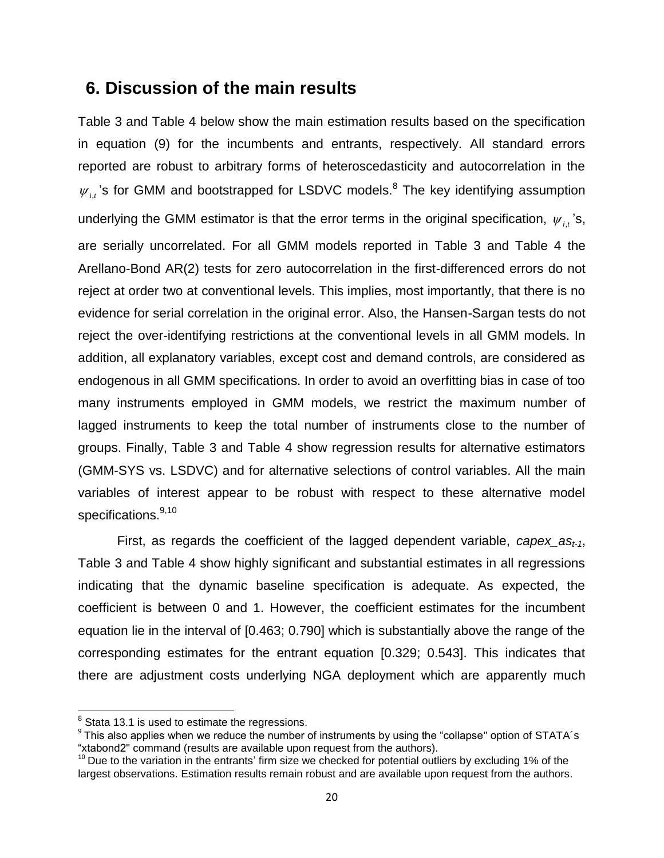### **6. Discussion of the main results**

[Table 3](#page-26-0) and [Table 4](#page-27-0) below show the main estimation results based on the specification in equation [\(9\)](#page-20-1) for the incumbents and entrants, respectively. All standard errors reported are robust to arbitrary forms of heteroscedasticity and autocorrelation in the  $\psi_{i,t}$ 's for GMM and bootstrapped for LSDVC models.<sup>8</sup> The key identifying assumption underlying the GMM estimator is that the error terms in the original specification,  $\psi_{i,t}$ 's, are serially uncorrelated. For all GMM models reported in [Table 3](#page-26-0) and [Table 4](#page-27-0) the Arellano-Bond AR(2) tests for zero autocorrelation in the first-differenced errors do not reject at order two at conventional levels. This implies, most importantly, that there is no evidence for serial correlation in the original error. Also, the Hansen-Sargan tests do not reject the over-identifying restrictions at the conventional levels in all GMM models. In addition, all explanatory variables, except cost and demand controls, are considered as endogenous in all GMM specifications. In order to avoid an overfitting bias in case of too many instruments employed in GMM models, we restrict the maximum number of lagged instruments to keep the total number of instruments close to the number of groups. Finally, Table 3 and Table 4 show regression results for alternative estimators (GMM-SYS vs. LSDVC) and for alternative selections of control variables. All the main variables of interest appear to be robust with respect to these alternative model specifications.<sup>9,10</sup>

First, as regards the coefficient of the lagged dependent variable, *capex\_ast-1*, Table 3 and Table 4 show highly significant and substantial estimates in all regressions indicating that the dynamic baseline specification is adequate. As expected, the coefficient is between 0 and 1. However, the coefficient estimates for the incumbent equation lie in the interval of [0.463; 0.790] which is substantially above the range of the corresponding estimates for the entrant equation [0.329; 0.543]. This indicates that there are adjustment costs underlying NGA deployment which are apparently much

<sup>&</sup>lt;u>Condenance</u><br><sup>8</sup> Stata 13.1 is used to estimate the regressions.

<sup>&</sup>lt;sup>9</sup> This also applies when we reduce the number of instruments by using the "collapse" option of STATA's "xtabond2" command (results are available upon request from the authors).

 $10$  Due to the variation in the entrants' firm size we checked for potential outliers by excluding 1% of the largest observations. Estimation results remain robust and are available upon request from the authors.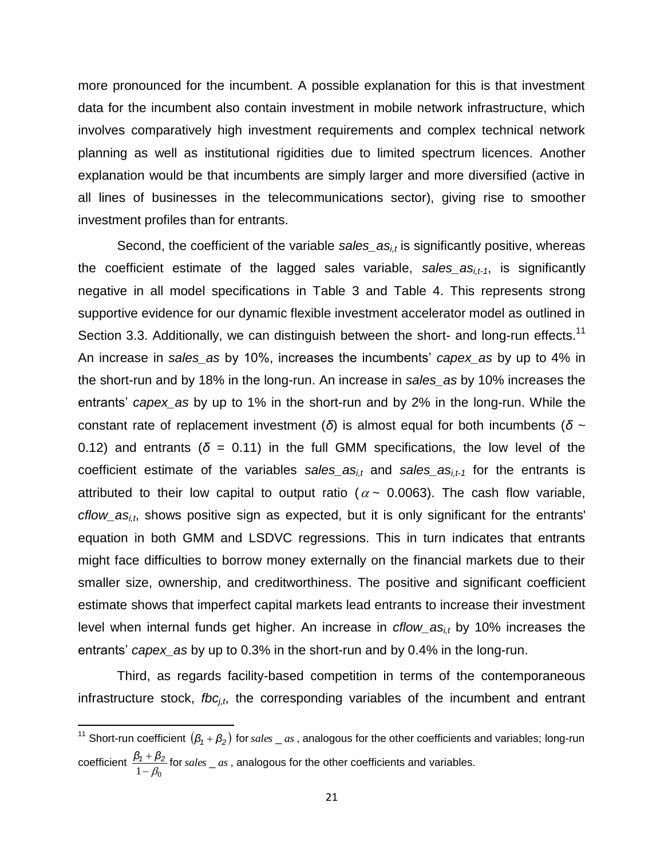more pronounced for the incumbent. A possible explanation for this is that investment data for the incumbent also contain investment in mobile network infrastructure, which involves comparatively high investment requirements and complex technical network planning as well as institutional rigidities due to limited spectrum licences. Another explanation would be that incumbents are simply larger and more diversified (active in all lines of businesses in the telecommunications sector), giving rise to smoother investment profiles than for entrants.

Second, the coefficient of the variable *sales\_asi,t* is significantly positive, whereas the coefficient estimate of the lagged sales variable, *sales\_asi,t-1*, is significantly negative in all model specifications in Table 3 and Table 4. This represents strong supportive evidence for our dynamic flexible investment accelerator model as outlined in Section [3.3.](#page-12-0) Additionally, we can distinguish between the short- and long-run effects.<sup>11</sup> An increase in *sales\_as* by 10%, increases the incumbents' *capex\_as* by up to 4% in the short-run and by 18% in the long-run. An increase in *sales\_as* by 10% increases the entrants' *capex\_as* by up to 1% in the short-run and by 2% in the long-run. While the constant rate of replacement investment (*δ*) is almost equal for both incumbents (*δ* ~ 0.12) and entrants ( $\delta$  = 0.11) in the full GMM specifications, the low level of the coefficient estimate of the variables *sales\_asi,t* and *sales\_asi,t-1* for the entrants is attributed to their low capital to output ratio ( $\alpha$   $\sim$  0.0063). The cash flow variable, *cflow\_asi,t*, shows positive sign as expected, but it is only significant for the entrants' equation in both GMM and LSDVC regressions. This in turn indicates that entrants might face difficulties to borrow money externally on the financial markets due to their smaller size, ownership, and creditworthiness. The positive and significant coefficient estimate shows that imperfect capital markets lead entrants to increase their investment level when internal funds get higher. An increase in *cflow\_asi,t* by 10% increases the entrants' *capex\_as* by up to 0.3% in the short-run and by 0.4% in the long-run.

Third, as regards facility-based competition in terms of the contemporaneous infrastructure stock, *fbc<sub>i,t</sub>*, the corresponding variables of the incumbent and entrant

l

<sup>&</sup>lt;sup>11</sup> Short-run coefficient  $(\beta_1 + \beta_2)$  for *sales*  $\_as$  , analogous for the other coefficients and variables; long-run coefficient  $\frac{P_1 + P_2}{1 - \beta_0}$  $\frac{\beta_1 + \beta_2}{\beta_2}$  for *sales*  $\alpha$ , analogous for the other coefficients and variables.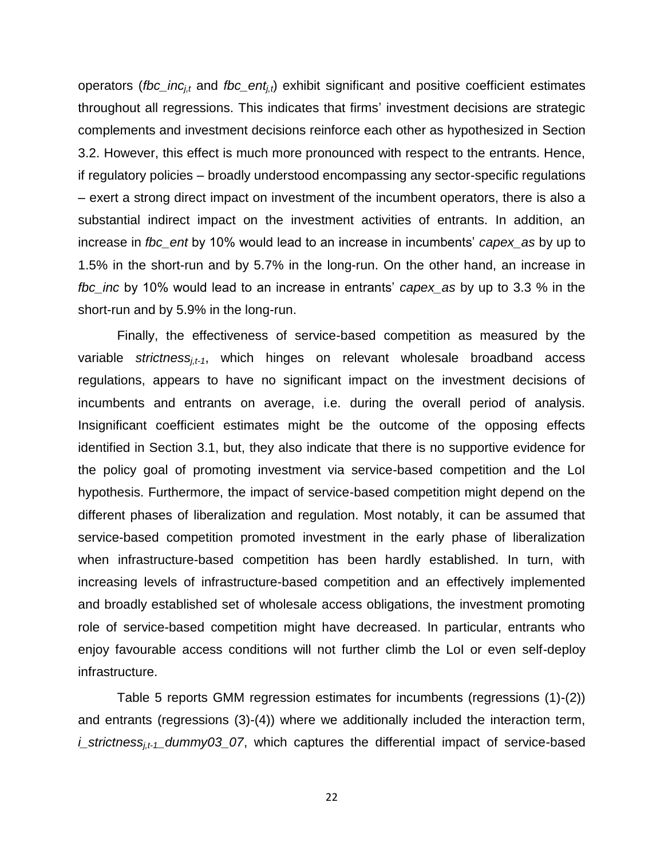operators (*fbc\_incj,t* and *fbc\_entj,t*) exhibit significant and positive coefficient estimates throughout all regressions. This indicates that firms' investment decisions are strategic complements and investment decisions reinforce each other as hypothesized in Section [3.2.](#page-10-0) However, this effect is much more pronounced with respect to the entrants. Hence, if regulatory policies – broadly understood encompassing any sector-specific regulations – exert a strong direct impact on investment of the incumbent operators, there is also a substantial indirect impact on the investment activities of entrants. In addition, an increase in *fbc\_ent* by 10% would lead to an increase in incumbents' *capex\_as* by up to 1.5% in the short-run and by 5.7% in the long-run. On the other hand, an increase in *fbc\_inc* by 10% would lead to an increase in entrants' *capex\_as* by up to 3.3 % in the short-run and by 5.9% in the long-run.

Finally, the effectiveness of service-based competition as measured by the variable *strictnessj,t-1*, which hinges on relevant wholesale broadband access regulations, appears to have no significant impact on the investment decisions of incumbents and entrants on average, i.e. during the overall period of analysis. Insignificant coefficient estimates might be the outcome of the opposing effects identified in Section [3.1,](#page-8-0) but, they also indicate that there is no supportive evidence for the policy goal of promoting investment via service-based competition and the LoI hypothesis. Furthermore, the impact of service-based competition might depend on the different phases of liberalization and regulation. Most notably, it can be assumed that service-based competition promoted investment in the early phase of liberalization when infrastructure-based competition has been hardly established. In turn, with increasing levels of infrastructure-based competition and an effectively implemented and broadly established set of wholesale access obligations, the investment promoting role of service-based competition might have decreased. In particular, entrants who enjoy favourable access conditions will not further climb the LoI or even self-deploy infrastructure.

[Table 5](#page-28-0) reports GMM regression estimates for incumbents (regressions (1)-(2)) and entrants (regressions (3)-(4)) where we additionally included the interaction term, *i\_strictnessj,t-1\_dummy03\_07*, which captures the differential impact of service-based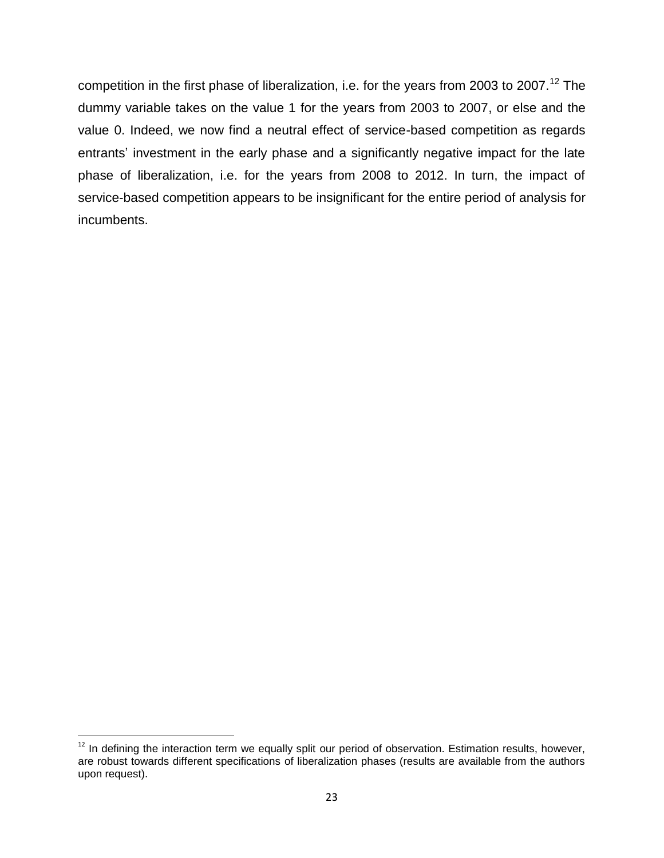competition in the first phase of liberalization, i.e. for the years from 2003 to 2007.<sup>12</sup> The dummy variable takes on the value 1 for the years from 2003 to 2007, or else and the value 0. Indeed, we now find a neutral effect of service-based competition as regards entrants' investment in the early phase and a significantly negative impact for the late phase of liberalization, i.e. for the years from 2008 to 2012. In turn, the impact of service-based competition appears to be insignificant for the entire period of analysis for incumbents.

 $\overline{\phantom{a}}$  $12$  In defining the interaction term we equally split our period of observation. Estimation results, however, are robust towards different specifications of liberalization phases (results are available from the authors upon request).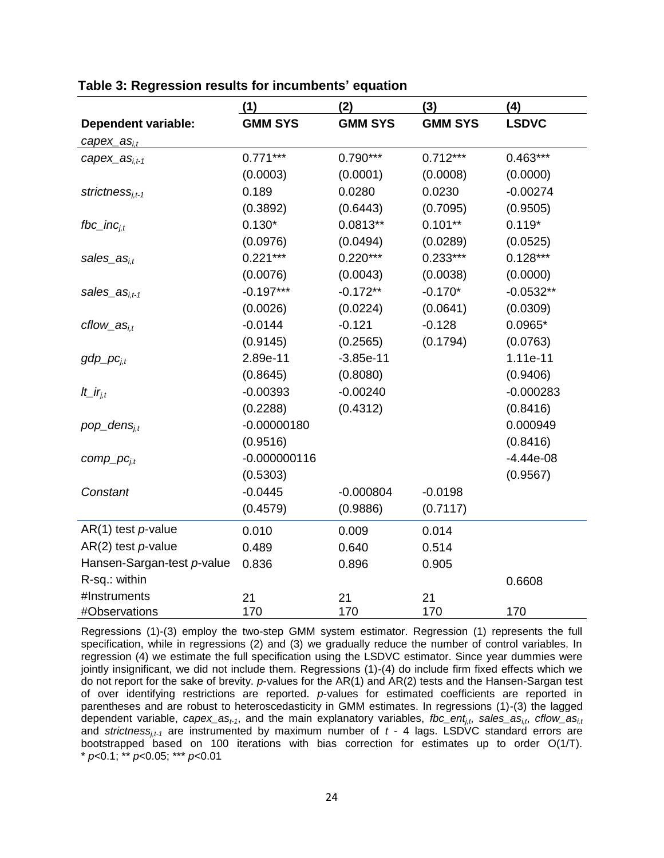|                                 | (1)            | (2)            | (3)            | (4)          |
|---------------------------------|----------------|----------------|----------------|--------------|
| <b>Dependent variable:</b>      | <b>GMM SYS</b> | <b>GMM SYS</b> | <b>GMM SYS</b> | <b>LSDVC</b> |
| $capex_{.}$ as <sub>i,t</sub>   |                |                |                |              |
| $capex_{.}$ as <sub>i.t-1</sub> | $0.771***$     | $0.790***$     | $0.712***$     | $0.463***$   |
|                                 | (0.0003)       | (0.0001)       | (0.0008)       | (0.0000)     |
| $strictness_{i,t-1}$            | 0.189          | 0.0280         | 0.0230         | $-0.00274$   |
|                                 | (0.3892)       | (0.6443)       | (0.7095)       | (0.9505)     |
| fbc_inc $_{i,t}$                | $0.130*$       | $0.0813**$     | $0.101***$     | $0.119*$     |
|                                 | (0.0976)       | (0.0494)       | (0.0289)       | (0.0525)     |
| $sales\_as_{i,t}$               | $0.221***$     | $0.220***$     | $0.233***$     | $0.128***$   |
|                                 | (0.0076)       | (0.0043)       | (0.0038)       | (0.0000)     |
| sales_as <sub>i.t-1</sub>       | $-0.197***$    | $-0.172**$     | $-0.170*$      | $-0.0532**$  |
|                                 | (0.0026)       | (0.0224)       | (0.0641)       | (0.0309)     |
| $cflow\_as_{i,t}$               | $-0.0144$      | $-0.121$       | $-0.128$       | $0.0965*$    |
|                                 | (0.9145)       | (0.2565)       | (0.1794)       | (0.0763)     |
| $gdp\_pc_{i,t}$                 | 2.89e-11       | $-3.85e-11$    |                | 1.11e-11     |
|                                 | (0.8645)       | (0.8080)       |                | (0.9406)     |
| It_ir <sub>i.t</sub>            | $-0.00393$     | $-0.00240$     |                | $-0.000283$  |
|                                 | (0.2288)       | (0.4312)       |                | (0.8416)     |
| $pop\_dens_{i,t}$               | $-0.00000180$  |                |                | 0.000949     |
|                                 | (0.9516)       |                |                | (0.8416)     |
| $comp\_pc_{i,t}$                | $-0.000000116$ |                |                | $-4.44e-08$  |
|                                 | (0.5303)       |                |                | (0.9567)     |
| Constant                        | $-0.0445$      | $-0.000804$    | $-0.0198$      |              |
|                                 | (0.4579)       | (0.9886)       | (0.7117)       |              |
| $AR(1)$ test <i>p</i> -value    | 0.010          | 0.009          | 0.014          |              |
| $AR(2)$ test $p$ -value         | 0.489          | 0.640          | 0.514          |              |
| Hansen-Sargan-test p-value      | 0.836          | 0.896          | 0.905          |              |
| R-sq.: within                   |                |                |                | 0.6608       |
| #Instruments                    | 21             | 21             | 21             |              |
| #Observations                   | 170            | 170            | 170            | 170          |

<span id="page-26-0"></span>**Table 3: Regression results for incumbents' equation**

Regressions (1)-(3) employ the two-step GMM system estimator. Regression (1) represents the full specification, while in regressions (2) and (3) we gradually reduce the number of control variables. In regression (4) we estimate the full specification using the LSDVC estimator. Since year dummies were jointly insignificant, we did not include them. Regressions (1)-(4) do include firm fixed effects which we do not report for the sake of brevity. *p*-values for the AR(1) and AR(2) tests and the Hansen-Sargan test of over identifying restrictions are reported. *p*-values for estimated coefficients are reported in parentheses and are robust to heteroscedasticity in GMM estimates. In regressions (1)-(3) the lagged dependent variable, *capex\_ast-1*, and the main explanatory variables, *fbc\_entj,t*, *sales\_asi,t*, *cflow\_asi,t* and *strictness<sub>i.t-1</sub>* are instrumented by maximum number of *t* - 4 lags. LSDVC standard errors are bootstrapped based on 100 iterations with bias correction for estimates up to order O(1/T). \* *p*<0.1; \*\* *p*<0.05; \*\*\* *p*<0.01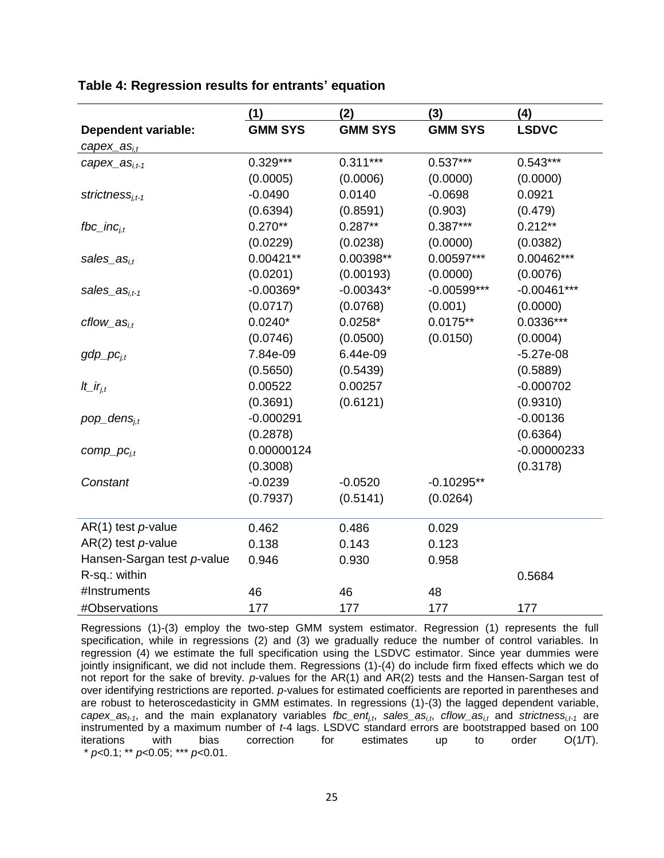|                              | (1)            | (2)            | (3)            | (4)           |
|------------------------------|----------------|----------------|----------------|---------------|
| <b>Dependent variable:</b>   | <b>GMM SYS</b> | <b>GMM SYS</b> | <b>GMM SYS</b> | <b>LSDVC</b>  |
| $capex_{.}as_{i,t}$          |                |                |                |               |
| $capex_{.}as_{i,t-1}$        | $0.329***$     | $0.311***$     | $0.537***$     | $0.543***$    |
|                              | (0.0005)       | (0.0006)       | (0.0000)       | (0.0000)      |
| strictness <sub>i.t-1</sub>  | $-0.0490$      | 0.0140         | $-0.0698$      | 0.0921        |
|                              | (0.6394)       | (0.8591)       | (0.903)        | (0.479)       |
| fbc_inc $_{i.t}$             | $0.270**$      | $0.287**$      | $0.387***$     | $0.212**$     |
|                              | (0.0229)       | (0.0238)       | (0.0000)       | (0.0382)      |
| sales_as <sub>i.t</sub>      | $0.00421**$    | 0.00398**      | 0.00597***     | 0.00462***    |
|                              | (0.0201)       | (0.00193)      | (0.0000)       | (0.0076)      |
| sales_as <sub>i.t-1</sub>    | $-0.00369*$    | $-0.00343*$    | $-0.00599***$  | $-0.00461***$ |
|                              | (0.0717)       | (0.0768)       | (0.001)        | (0.0000)      |
| $cflow\_as_{i.t}$            | $0.0240*$      | $0.0258*$      | $0.0175**$     | $0.0336***$   |
|                              | (0.0746)       | (0.0500)       | (0.0150)       | (0.0004)      |
| $gdp\_pc_{i,t}$              | 7.84e-09       | 6.44e-09       |                | $-5.27e-08$   |
|                              | (0.5650)       | (0.5439)       |                | (0.5889)      |
| It_ir <sub>i,t</sub>         | 0.00522        | 0.00257        |                | $-0.000702$   |
|                              | (0.3691)       | (0.6121)       |                | (0.9310)      |
| $pop\_dens_{i,t}$            | $-0.000291$    |                |                | $-0.00136$    |
|                              | (0.2878)       |                |                | (0.6364)      |
| $comp\_pc_{i,t}$             | 0.00000124     |                |                | $-0.00000233$ |
|                              | (0.3008)       |                |                | (0.3178)      |
| Constant                     | $-0.0239$      | $-0.0520$      | $-0.10295**$   |               |
|                              | (0.7937)       | (0.5141)       | (0.0264)       |               |
| $AR(1)$ test <i>p</i> -value | 0.462          | 0.486          | 0.029          |               |
| $AR(2)$ test $p$ -value      | 0.138          | 0.143          | 0.123          |               |
| Hansen-Sargan test p-value   | 0.946          | 0.930          | 0.958          |               |
| R-sq.: within                |                |                |                | 0.5684        |
| #Instruments                 | 46             | 46             | 48             |               |
| #Observations                | 177            | 177            | 177            | 177           |

#### <span id="page-27-0"></span>**Table 4: Regression results for entrants' equation**

Regressions (1)-(3) employ the two-step GMM system estimator. Regression (1) represents the full specification, while in regressions (2) and (3) we gradually reduce the number of control variables. In regression (4) we estimate the full specification using the LSDVC estimator. Since year dummies were jointly insignificant, we did not include them. Regressions (1)-(4) do include firm fixed effects which we do not report for the sake of brevity. *p*-values for the AR(1) and AR(2) tests and the Hansen-Sargan test of over identifying restrictions are reported. *p*-values for estimated coefficients are reported in parentheses and are robust to heteroscedasticity in GMM estimates. In regressions (1)-(3) the lagged dependent variable,  $capex_1$ , and the main explanatory variables *fbc\_ent<sub>i,t</sub>*, sales\_as<sub>i,t</sub>, *cflow\_as*<sub>i,t</sub> and *strictness*<sub>i,t-1</sub> are instrumented by a maximum number of *t*-4 lags. LSDVC standard errors are bootstrapped based on 100 iterations with bias correction for estimates up to order O(1/T). \* *p*<0.1; \*\* *p*<0.05; \*\*\* *p*<0.01.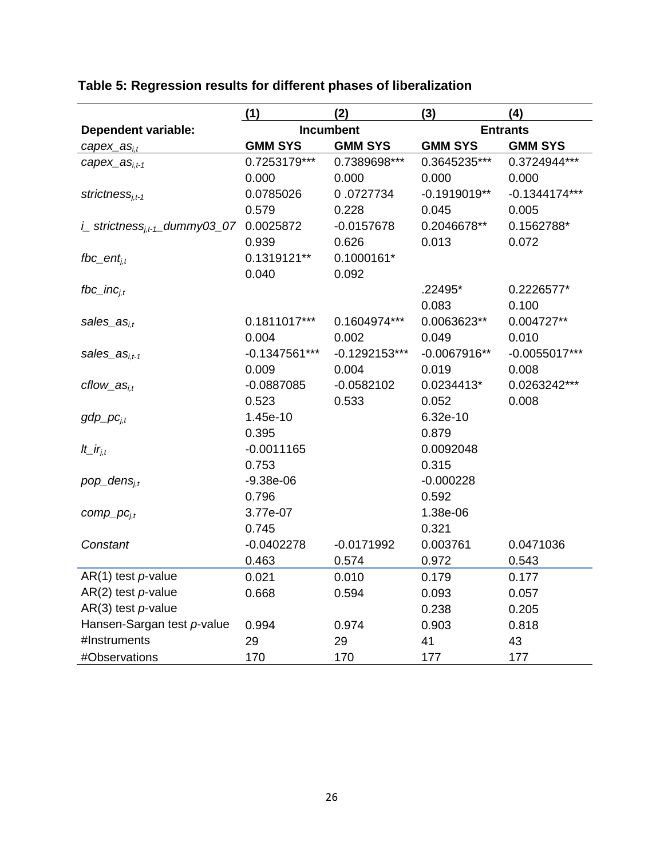|                                          | (1)              | (2)             | (3)             | (4)             |
|------------------------------------------|------------------|-----------------|-----------------|-----------------|
| <b>Dependent variable:</b>               | <b>Incumbent</b> |                 | <b>Entrants</b> |                 |
| $capex_{.aS_{i,t}}$                      | <b>GMM SYS</b>   | <b>GMM SYS</b>  | <b>GMM SYS</b>  | <b>GMM SYS</b>  |
| $capex_{.}$ as <sub>i.t-1</sub>          | 0.7253179***     | 0.7389698***    | 0.3645235***    | 0.3724944***    |
|                                          | 0.000            | 0.000           | 0.000           | 0.000           |
| strictness <sub>i.t-1</sub>              | 0.0785026        | 0.0727734       | $-0.1919019**$  | $-0.1344174***$ |
|                                          | 0.579            | 0.228           | 0.045           | 0.005           |
| i_strictness <sub>it-1</sub> _dummy03_07 | 0.0025872        | $-0.0157678$    | 0.2046678**     | 0.1562788*      |
|                                          | 0.939            | 0.626           | 0.013           | 0.072           |
| $fbc\_ent_{i,t}$                         | 0.1319121**      | $0.1000161*$    |                 |                 |
|                                          | 0.040            | 0.092           |                 |                 |
| fbc_inc $_{i,t}$                         |                  |                 | .22495*         | 0.2226577*      |
|                                          |                  |                 | 0.083           | 0.100           |
| sales_as <sub>i.t</sub>                  | 0.1811017***     | 0.1604974***    | 0.0063623**     | 0.004727**      |
|                                          | 0.004            | 0.002           | 0.049           | 0.010           |
| sales_as <sub>i.t-1</sub>                | $-0.1347561***$  | $-0.1292153***$ | $-0.0067916**$  | $-0.0055017***$ |
|                                          | 0.009            | 0.004           | 0.019           | 0.008           |
| $cflow\_as_{i.t}$                        | $-0.0887085$     | $-0.0582102$    | 0.0234413*      | 0.0263242***    |
|                                          | 0.523            | 0.533           | 0.052           | 0.008           |
| $gdp\_pc_{i,t}$                          | 1.45e-10         |                 | 6.32e-10        |                 |
|                                          | 0.395            |                 | 0.879           |                 |
| It_ir <sub>i.t</sub>                     | $-0.0011165$     |                 | 0.0092048       |                 |
|                                          | 0.753            |                 | 0.315           |                 |
| $pop\_dens_{i,t}$                        | $-9.38e-06$      |                 | $-0.000228$     |                 |
|                                          | 0.796            |                 | 0.592           |                 |
| $comp\_pc_{i,t}$                         | 3.77e-07         |                 | 1.38e-06        |                 |
|                                          | 0.745            |                 | 0.321           |                 |
| Constant                                 | $-0.0402278$     | $-0.0171992$    | 0.003761        | 0.0471036       |
|                                          | 0.463            | 0.574           | 0.972           | 0.543           |
| $AR(1)$ test p-value                     | 0.021            | 0.010           | 0.179           | 0.177           |
| $AR(2)$ test $p$ -value                  | 0.668            | 0.594           | 0.093           | 0.057           |
| $AR(3)$ test $p$ -value                  |                  |                 | 0.238           | 0.205           |
| Hansen-Sargan test p-value               | 0.994            | 0.974           | 0.903           | 0.818           |
| #Instruments                             | 29               | 29              | 41              | 43              |
| #Observations                            | 170              | 170             | 177             | 177             |

## <span id="page-28-0"></span>**Table 5: Regression results for different phases of liberalization**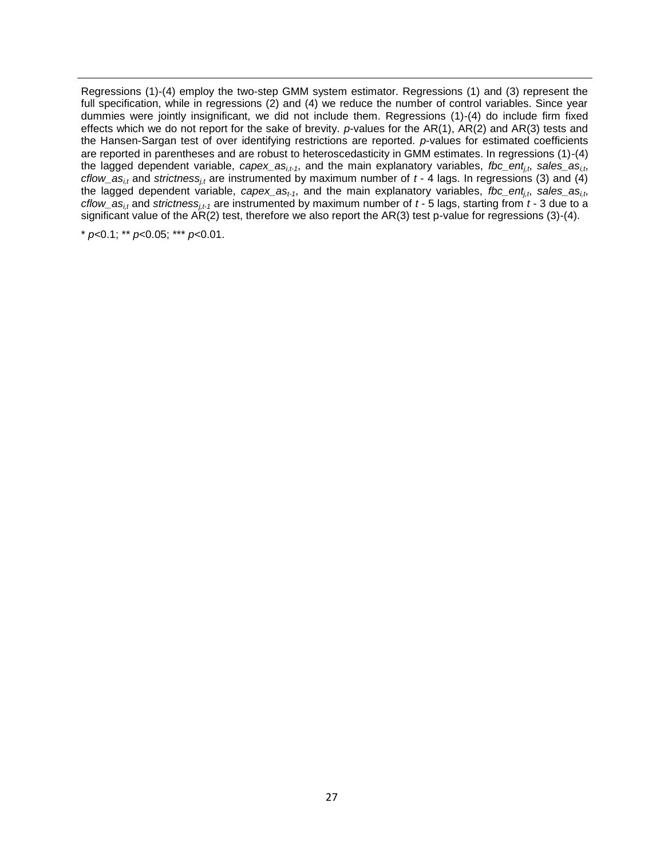Regressions (1)-(4) employ the two-step GMM system estimator. Regressions (1) and (3) represent the full specification, while in regressions (2) and (4) we reduce the number of control variables. Since year dummies were jointly insignificant, we did not include them. Regressions (1)-(4) do include firm fixed effects which we do not report for the sake of brevity. *p*-values for the AR(1), AR(2) and AR(3) tests and the Hansen-Sargan test of over identifying restrictions are reported. *p*-values for estimated coefficients are reported in parentheses and are robust to heteroscedasticity in GMM estimates. In regressions (1)-(4) the lagged dependent variable, *capex\_asi,t-1*, and the main explanatory variables, *fbc\_entj,t*, *sales\_asi,t*, *cflow\_as<sub>i,t</sub>* and *strictness<sub>i,t</sub>* are instrumented by maximum number of  $t$  - 4 lags. In regressions (3) and (4) the lagged dependent variable, *capex\_ast-1*, and the main explanatory variables, *fbc\_entj,t*, *sales\_asi,t*, *cflow*  $as_{it}$  and *strictness<sub>it-1</sub>* are instrumented by maximum number of  $t$  - 5 lags, starting from  $t$  - 3 due to a significant value of the AR(2) test, therefore we also report the AR(3) test p-value for regressions (3)-(4).

\* *p*<0.1; \*\* *p*<0.05; \*\*\* *p*<0.01.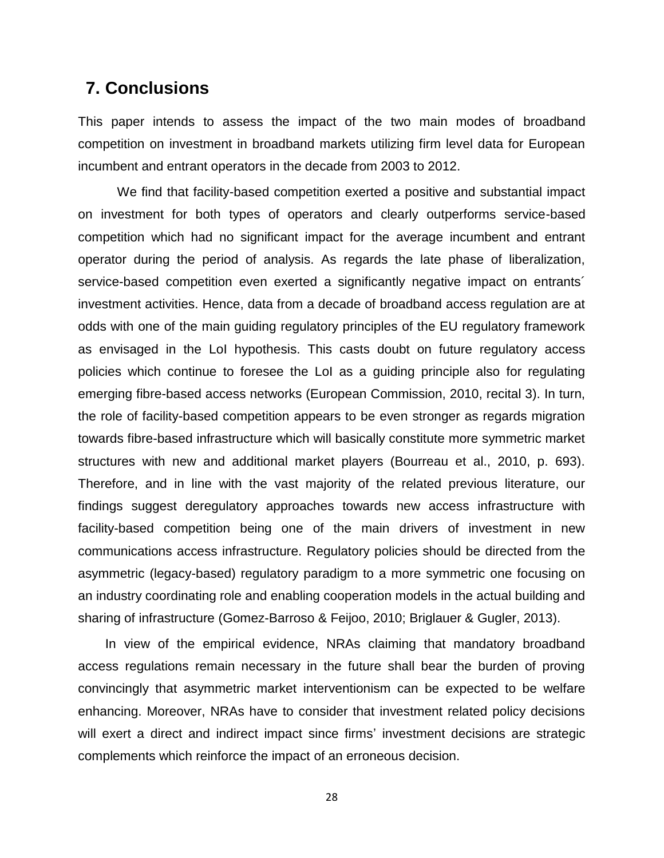### **7. Conclusions**

This paper intends to assess the impact of the two main modes of broadband competition on investment in broadband markets utilizing firm level data for European incumbent and entrant operators in the decade from 2003 to 2012.

We find that facility-based competition exerted a positive and substantial impact on investment for both types of operators and clearly outperforms service-based competition which had no significant impact for the average incumbent and entrant operator during the period of analysis. As regards the late phase of liberalization, service-based competition even exerted a significantly negative impact on entrants<sup>1</sup> investment activities. Hence, data from a decade of broadband access regulation are at odds with one of the main guiding regulatory principles of the EU regulatory framework as envisaged in the LoI hypothesis. This casts doubt on future regulatory access policies which continue to foresee the LoI as a guiding principle also for regulating emerging fibre-based access networks (European Commission, 2010, recital 3). In turn, the role of facility-based competition appears to be even stronger as regards migration towards fibre-based infrastructure which will basically constitute more symmetric market structures with new and additional market players (Bourreau et al., 2010, p. 693). Therefore, and in line with the vast majority of the related previous literature, our findings suggest deregulatory approaches towards new access infrastructure with facility-based competition being one of the main drivers of investment in new communications access infrastructure. Regulatory policies should be directed from the asymmetric (legacy-based) regulatory paradigm to a more symmetric one focusing on an industry coordinating role and enabling cooperation models in the actual building and sharing of infrastructure (Gomez-Barroso & Feijoo, 2010; Briglauer & Gugler, 2013).

In view of the empirical evidence, NRAs claiming that mandatory broadband access regulations remain necessary in the future shall bear the burden of proving convincingly that asymmetric market interventionism can be expected to be welfare enhancing. Moreover, NRAs have to consider that investment related policy decisions will exert a direct and indirect impact since firms' investment decisions are strategic complements which reinforce the impact of an erroneous decision.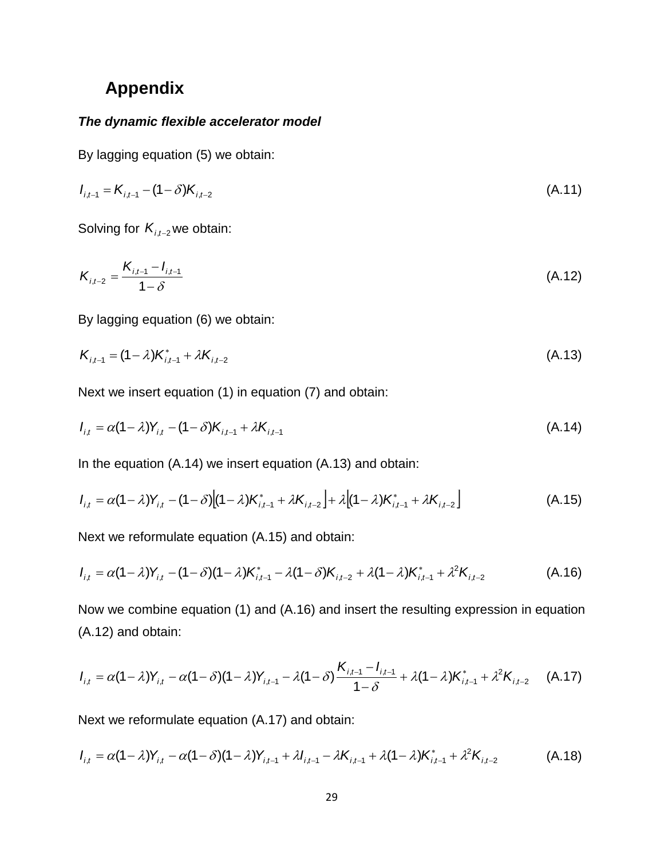# **Appendix**

#### *The dynamic flexible accelerator model*

By lagging equation [\(5\)](#page-13-0) we obtain:

$$
I_{i,t-1} = K_{i,t-1} - (1 - \delta)K_{i,t-2}
$$
\n(A.11)

Solving for  $K_{i,t-2}$  we obtain:

$$
K_{i,t-2} = \frac{K_{i,t-1} - I_{i,t-1}}{1 - \delta} \tag{A.12}
$$

By lagging equation [\(6\)](#page-13-1) we obtain:

$$
K_{i,t-1} = (1 - \lambda)K_{i,t-1}^* + \lambda K_{i,t-2}
$$
\n(A.13)

Next we insert equation [\(1\)](#page-12-1) in equation [\(7\)](#page-13-0) and obtain:

$$
I_{i,t} = \alpha (1 - \lambda) Y_{i,t} - (1 - \delta) K_{i,t-1} + \lambda K_{i,t-1}
$$
\n(A.14)

In the equation (A.14) we insert equation (A.13) and obtain:

$$
I_{i,t} = \alpha (1 - \lambda) Y_{i,t} - (1 - \delta) [(1 - \lambda) K_{i,t-1}^* + \lambda K_{i,t-2}] + \lambda [(1 - \lambda) K_{i,t-1}^* + \lambda K_{i,t-2}]
$$
 (A.15)

Next we reformulate equation (A.15) and obtain:

$$
I_{i,t} = \alpha (1 - \lambda) Y_{i,t} - (1 - \delta) (1 - \lambda) K_{i,t-1}^* - \lambda (1 - \delta) K_{i,t-2} + \lambda (1 - \lambda) K_{i,t-1}^* + \lambda^2 K_{i,t-2}
$$
 (A.16)

Now we combine equation (1) and (A.16) and insert the resulting expression in equation (A.12) and obtain:

$$
I_{i,t} = \alpha (1 - \lambda) Y_{i,t} - \alpha (1 - \delta) (1 - \lambda) Y_{i,t-1} - \lambda (1 - \delta) \frac{K_{i,t-1} - I_{i,t-1}}{1 - \delta} + \lambda (1 - \lambda) K_{i,t-1}^* + \lambda^2 K_{i,t-2}
$$
 (A.17)

Next we reformulate equation (A.17) and obtain:

$$
I_{i,t} = \alpha (1 - \lambda) Y_{i,t} - \alpha (1 - \delta) (1 - \lambda) Y_{i,t-1} + \lambda I_{i,t-1} - \lambda K_{i,t-1} + \lambda (1 - \lambda) K_{i,t-1}^* + \lambda^2 K_{i,t-2}
$$
 (A.18)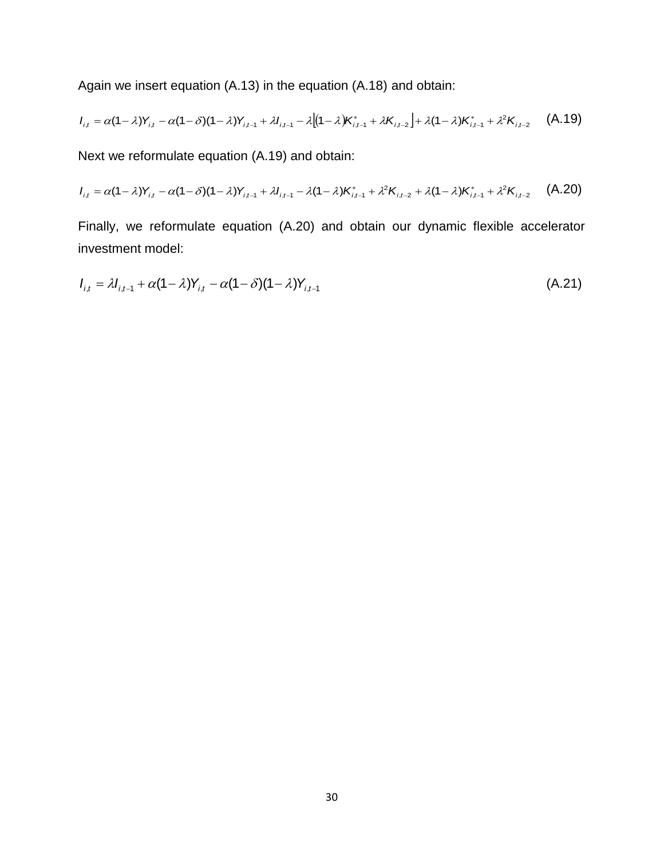Again we insert equation (A.13) in the equation (A.18) and obtain:

$$
I_{i,t} = \alpha (1 - \lambda) Y_{i,t} - \alpha (1 - \delta) (1 - \lambda) Y_{i,t-1} + \lambda I_{i,t-1} - \lambda [(1 - \lambda) K_{i,t-1}^* + \lambda K_{i,t-2}] + \lambda (1 - \lambda) K_{i,t-1}^* + \lambda^2 K_{i,t-2}
$$
 (A.19)

Next we reformulate equation (A.19) and obtain:

$$
I_{i,t} = \alpha(1-\lambda)Y_{i,t} - \alpha(1-\delta)(1-\lambda)Y_{i,t-1} + \lambda I_{i,t-1} - \lambda(1-\lambda)K_{i,t-1}^* + \lambda^2 K_{i,t-2} + \lambda(1-\lambda)K_{i,t-1}^* + \lambda^2 K_{i,t-2}
$$
 (A.20)

Finally, we reformulate equation (A.20) and obtain our dynamic flexible accelerator investment model:

$$
I_{i,t} = \lambda I_{i,t-1} + \alpha (1 - \lambda) Y_{i,t} - \alpha (1 - \delta) (1 - \lambda) Y_{i,t-1}
$$
\n(A.21)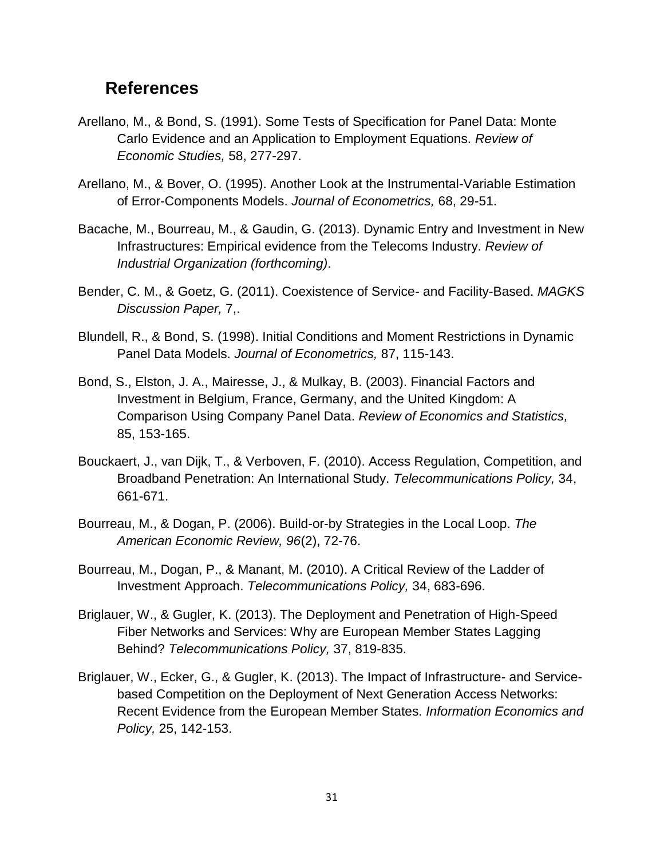### **References**

- Arellano, M., & Bond, S. (1991). Some Tests of Specification for Panel Data: Monte Carlo Evidence and an Application to Employment Equations. *Review of Economic Studies,* 58, 277-297.
- Arellano, M., & Bover, O. (1995). Another Look at the Instrumental-Variable Estimation of Error-Components Models. *Journal of Econometrics,* 68, 29-51.
- Bacache, M., Bourreau, M., & Gaudin, G. (2013). Dynamic Entry and Investment in New Infrastructures: Empirical evidence from the Telecoms Industry. *Review of Industrial Organization (forthcoming)*.
- Bender, C. M., & Goetz, G. (2011). Coexistence of Service- and Facility-Based. *MAGKS Discussion Paper,* 7,.
- Blundell, R., & Bond, S. (1998). Initial Conditions and Moment Restrictions in Dynamic Panel Data Models. *Journal of Econometrics,* 87, 115-143.
- Bond, S., Elston, J. A., Mairesse, J., & Mulkay, B. (2003). Financial Factors and Investment in Belgium, France, Germany, and the United Kingdom: A Comparison Using Company Panel Data. *Review of Economics and Statistics,*  85, 153-165.
- Bouckaert, J., van Dijk, T., & Verboven, F. (2010). Access Regulation, Competition, and Broadband Penetration: An International Study. *Telecommunications Policy,* 34, 661-671.
- Bourreau, M., & Dogan, P. (2006). Build-or-by Strategies in the Local Loop. *The American Economic Review, 96*(2), 72-76.
- Bourreau, M., Dogan, P., & Manant, M. (2010). A Critical Review of the Ladder of Investment Approach. *Telecommunications Policy,* 34, 683-696.
- Briglauer, W., & Gugler, K. (2013). The Deployment and Penetration of High-Speed Fiber Networks and Services: Why are European Member States Lagging Behind? *Telecommunications Policy,* 37, 819-835.
- Briglauer, W., Ecker, G., & Gugler, K. (2013). The Impact of Infrastructure- and Servicebased Competition on the Deployment of Next Generation Access Networks: Recent Evidence from the European Member States. *Information Economics and Policy,* 25, 142-153.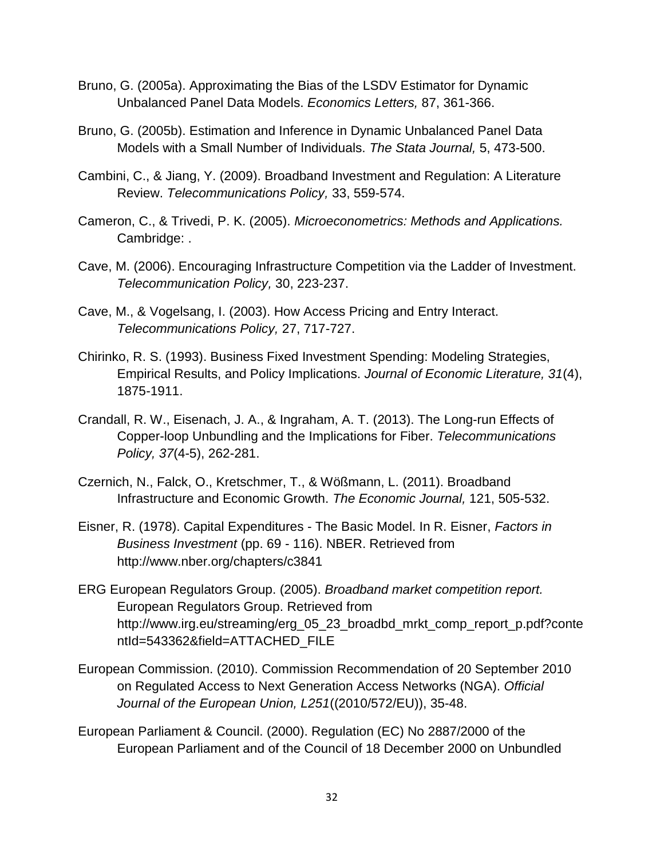- Bruno, G. (2005a). Approximating the Bias of the LSDV Estimator for Dynamic Unbalanced Panel Data Models. *Economics Letters,* 87, 361-366.
- Bruno, G. (2005b). Estimation and Inference in Dynamic Unbalanced Panel Data Models with a Small Number of Individuals. *The Stata Journal,* 5, 473-500.
- Cambini, C., & Jiang, Y. (2009). Broadband Investment and Regulation: A Literature Review. *Telecommunications Policy,* 33, 559-574.
- Cameron, C., & Trivedi, P. K. (2005). *Microeconometrics: Methods and Applications.* Cambridge: .
- Cave, M. (2006). Encouraging Infrastructure Competition via the Ladder of Investment. *Telecommunication Policy,* 30, 223-237.
- Cave, M., & Vogelsang, I. (2003). How Access Pricing and Entry Interact. *Telecommunications Policy,* 27, 717-727.
- Chirinko, R. S. (1993). Business Fixed Investment Spending: Modeling Strategies, Empirical Results, and Policy Implications. *Journal of Economic Literature, 31*(4), 1875-1911.
- Crandall, R. W., Eisenach, J. A., & Ingraham, A. T. (2013). The Long-run Effects of Copper-loop Unbundling and the Implications for Fiber. *Telecommunications Policy, 37*(4-5), 262-281.
- Czernich, N., Falck, O., Kretschmer, T., & Wößmann, L. (2011). Broadband Infrastructure and Economic Growth. *The Economic Journal,* 121, 505-532.
- Eisner, R. (1978). Capital Expenditures The Basic Model. In R. Eisner, *Factors in Business Investment* (pp. 69 - 116). NBER. Retrieved from http://www.nber.org/chapters/c3841
- ERG European Regulators Group. (2005). *Broadband market competition report.* European Regulators Group. Retrieved from http://www.irg.eu/streaming/erg\_05\_23\_broadbd\_mrkt\_comp\_report\_p.pdf?conte ntId=543362&field=ATTACHED\_FILE
- European Commission. (2010). Commission Recommendation of 20 September 2010 on Regulated Access to Next Generation Access Networks (NGA). *Official Journal of the European Union, L251*((2010/572/EU)), 35-48.
- European Parliament & Council. (2000). Regulation (EC) No 2887/2000 of the European Parliament and of the Council of 18 December 2000 on Unbundled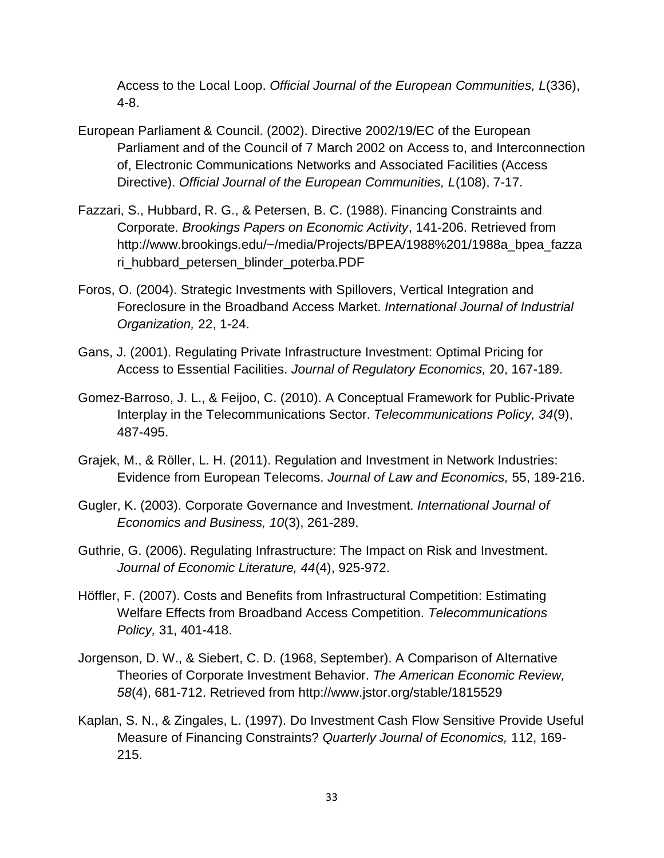Access to the Local Loop. *Official Journal of the European Communities, L*(336), 4-8.

- European Parliament & Council. (2002). Directive 2002/19/EC of the European Parliament and of the Council of 7 March 2002 on Access to, and Interconnection of, Electronic Communications Networks and Associated Facilities (Access Directive). *Official Journal of the European Communities, L*(108), 7-17.
- Fazzari, S., Hubbard, R. G., & Petersen, B. C. (1988). Financing Constraints and Corporate. *Brookings Papers on Economic Activity*, 141-206. Retrieved from http://www.brookings.edu/~/media/Projects/BPEA/1988%201/1988a\_bpea\_fazza ri\_hubbard\_petersen\_blinder\_poterba.PDF
- Foros, O. (2004). Strategic Investments with Spillovers, Vertical Integration and Foreclosure in the Broadband Access Market. *International Journal of Industrial Organization,* 22, 1-24.
- Gans, J. (2001). Regulating Private Infrastructure Investment: Optimal Pricing for Access to Essential Facilities. *Journal of Regulatory Economics,* 20, 167-189.
- Gomez-Barroso, J. L., & Feijoo, C. (2010). A Conceptual Framework for Public-Private Interplay in the Telecommunications Sector. *Telecommunications Policy, 34*(9), 487-495.
- Grajek, M., & Röller, L. H. (2011). Regulation and Investment in Network Industries: Evidence from European Telecoms. *Journal of Law and Economics,* 55, 189-216.
- Gugler, K. (2003). Corporate Governance and Investment. *International Journal of Economics and Business, 10*(3), 261-289.
- Guthrie, G. (2006). Regulating Infrastructure: The Impact on Risk and Investment. *Journal of Economic Literature, 44*(4), 925-972.
- Höffler, F. (2007). Costs and Benefits from Infrastructural Competition: Estimating Welfare Effects from Broadband Access Competition. *Telecommunications Policy,* 31, 401-418.
- Jorgenson, D. W., & Siebert, C. D. (1968, September). A Comparison of Alternative Theories of Corporate Investment Behavior. *The American Economic Review, 58*(4), 681-712. Retrieved from http://www.jstor.org/stable/1815529
- Kaplan, S. N., & Zingales, L. (1997). Do Investment Cash Flow Sensitive Provide Useful Measure of Financing Constraints? *Quarterly Journal of Economics,* 112, 169- 215.